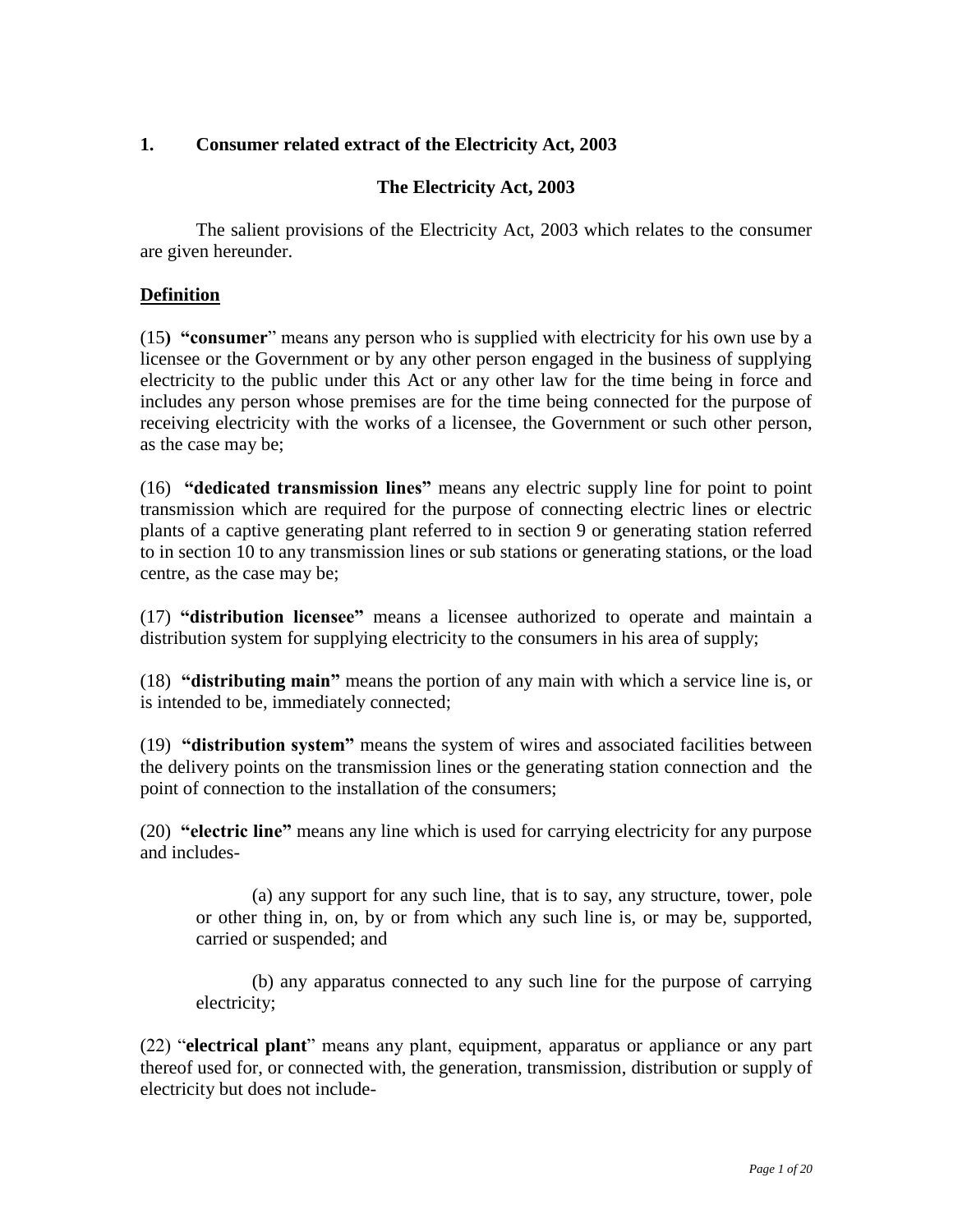# **1. Consumer related extract of the Electricity Act, 2003**

# **The Electricity Act, 2003**

The salient provisions of the Electricity Act, 2003 which relates to the consumer are given hereunder.

## **Definition**

(15**) "consumer**" means any person who is supplied with electricity for his own use by a licensee or the Government or by any other person engaged in the business of supplying electricity to the public under this Act or any other law for the time being in force and includes any person whose premises are for the time being connected for the purpose of receiving electricity with the works of a licensee, the Government or such other person, as the case may be;

(16) **"dedicated transmission lines"** means any electric supply line for point to point transmission which are required for the purpose of connecting electric lines or electric plants of a captive generating plant referred to in section 9 or generating station referred to in section 10 to any transmission lines or sub stations or generating stations, or the load centre, as the case may be;

(17) **"distribution licensee"** means a licensee authorized to operate and maintain a distribution system for supplying electricity to the consumers in his area of supply;

(18) **"distributing main"** means the portion of any main with which a service line is, or is intended to be, immediately connected;

(19) **"distribution system"** means the system of wires and associated facilities between the delivery points on the transmission lines or the generating station connection and the point of connection to the installation of the consumers;

(20) **"electric line"** means any line which is used for carrying electricity for any purpose and includes-

(a) any support for any such line, that is to say, any structure, tower, pole or other thing in, on, by or from which any such line is, or may be, supported, carried or suspended; and

(b) any apparatus connected to any such line for the purpose of carrying electricity;

(22) "**electrical plant**" means any plant, equipment, apparatus or appliance or any part thereof used for, or connected with, the generation, transmission, distribution or supply of electricity but does not include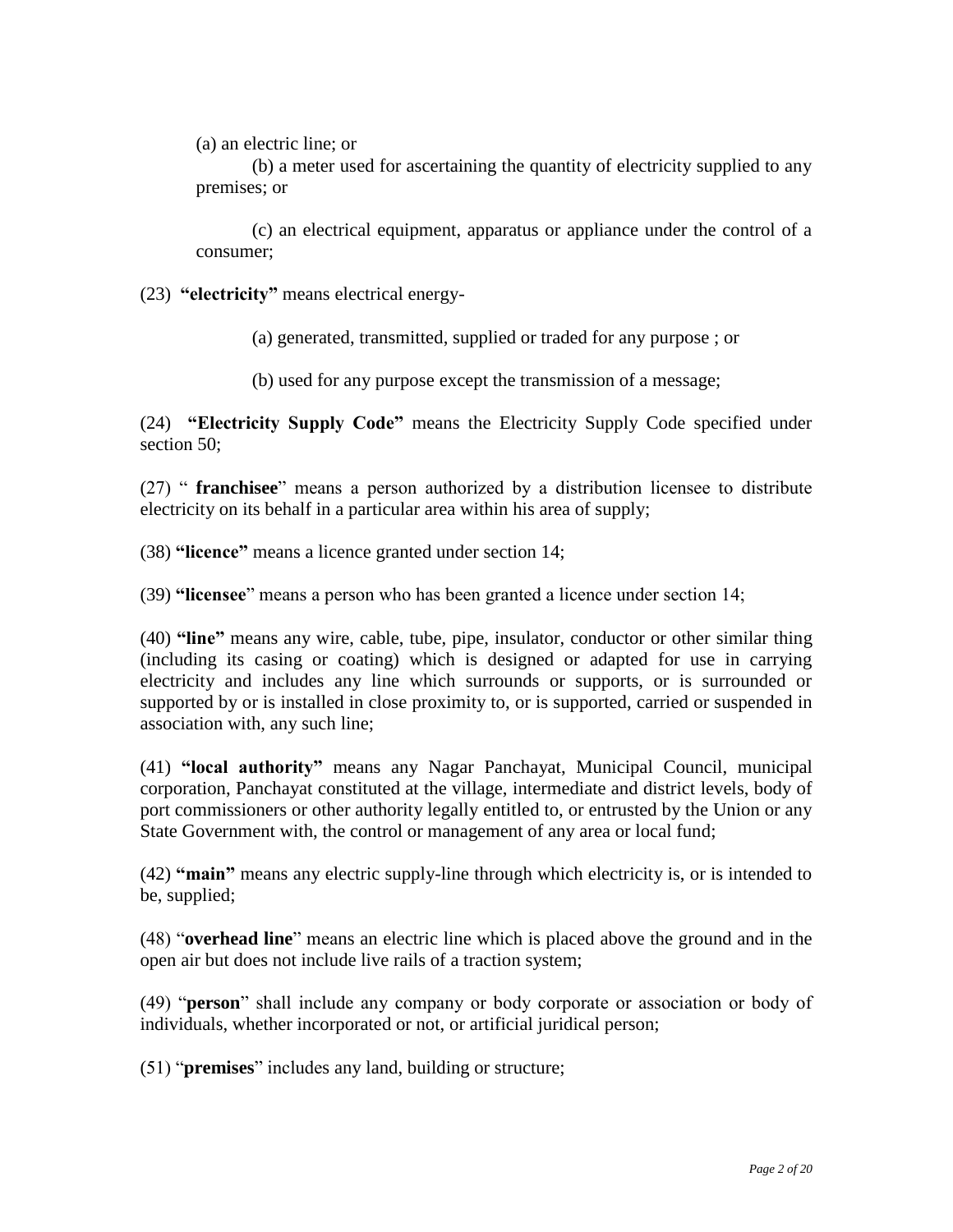(a) an electric line; or

(b) a meter used for ascertaining the quantity of electricity supplied to any premises; or

(c) an electrical equipment, apparatus or appliance under the control of a consumer;

(23) **"electricity"** means electrical energy-

(a) generated, transmitted, supplied or traded for any purpose ; or

(b) used for any purpose except the transmission of a message;

(24) **"Electricity Supply Code"** means the Electricity Supply Code specified under section 50:

(27) " **franchisee**" means a person authorized by a distribution licensee to distribute electricity on its behalf in a particular area within his area of supply;

(38) **"licence"** means a licence granted under section 14;

(39) **"licensee**" means a person who has been granted a licence under section 14;

(40) **"line"** means any wire, cable, tube, pipe, insulator, conductor or other similar thing (including its casing or coating) which is designed or adapted for use in carrying electricity and includes any line which surrounds or supports, or is surrounded or supported by or is installed in close proximity to, or is supported, carried or suspended in association with, any such line;

(41) **"local authority"** means any Nagar Panchayat, Municipal Council, municipal corporation, Panchayat constituted at the village, intermediate and district levels, body of port commissioners or other authority legally entitled to, or entrusted by the Union or any State Government with, the control or management of any area or local fund;

(42) **"main"** means any electric supply-line through which electricity is, or is intended to be, supplied;

(48) "**overhead line**" means an electric line which is placed above the ground and in the open air but does not include live rails of a traction system;

(49) "**person**" shall include any company or body corporate or association or body of individuals, whether incorporated or not, or artificial juridical person;

(51) "**premises**" includes any land, building or structure;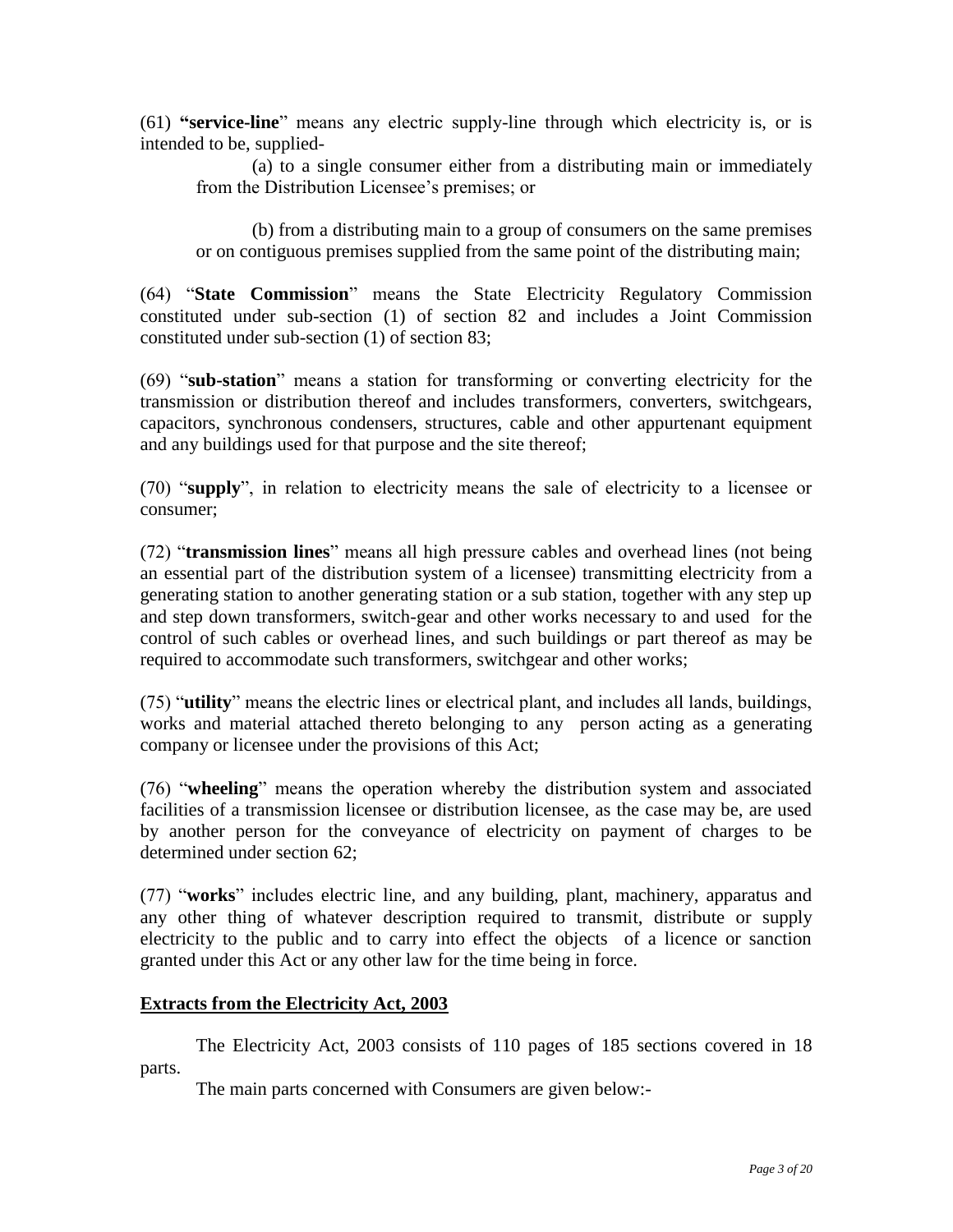(61) **"service-line**" means any electric supply-line through which electricity is, or is intended to be, supplied-

(a) to a single consumer either from a distributing main or immediately from the Distribution Licensee's premises; or

(b) from a distributing main to a group of consumers on the same premises or on contiguous premises supplied from the same point of the distributing main;

(64) "**State Commission**" means the State Electricity Regulatory Commission constituted under sub-section (1) of section 82 and includes a Joint Commission constituted under sub-section (1) of section 83;

(69) "**sub-station**" means a station for transforming or converting electricity for the transmission or distribution thereof and includes transformers, converters, switchgears, capacitors, synchronous condensers, structures, cable and other appurtenant equipment and any buildings used for that purpose and the site thereof;

(70) "**supply**", in relation to electricity means the sale of electricity to a licensee or consumer;

(72) "**transmission lines**" means all high pressure cables and overhead lines (not being an essential part of the distribution system of a licensee) transmitting electricity from a generating station to another generating station or a sub station, together with any step up and step down transformers, switch-gear and other works necessary to and used for the control of such cables or overhead lines, and such buildings or part thereof as may be required to accommodate such transformers, switchgear and other works;

(75) "**utility**" means the electric lines or electrical plant, and includes all lands, buildings, works and material attached thereto belonging to any person acting as a generating company or licensee under the provisions of this Act;

(76) "**wheeling**" means the operation whereby the distribution system and associated facilities of a transmission licensee or distribution licensee, as the case may be, are used by another person for the conveyance of electricity on payment of charges to be determined under section 62;

(77) "**works**" includes electric line, and any building, plant, machinery, apparatus and any other thing of whatever description required to transmit, distribute or supply electricity to the public and to carry into effect the objects of a licence or sanction granted under this Act or any other law for the time being in force.

## **Extracts from the Electricity Act, 2003**

The Electricity Act, 2003 consists of 110 pages of 185 sections covered in 18 parts.

The main parts concerned with Consumers are given below:-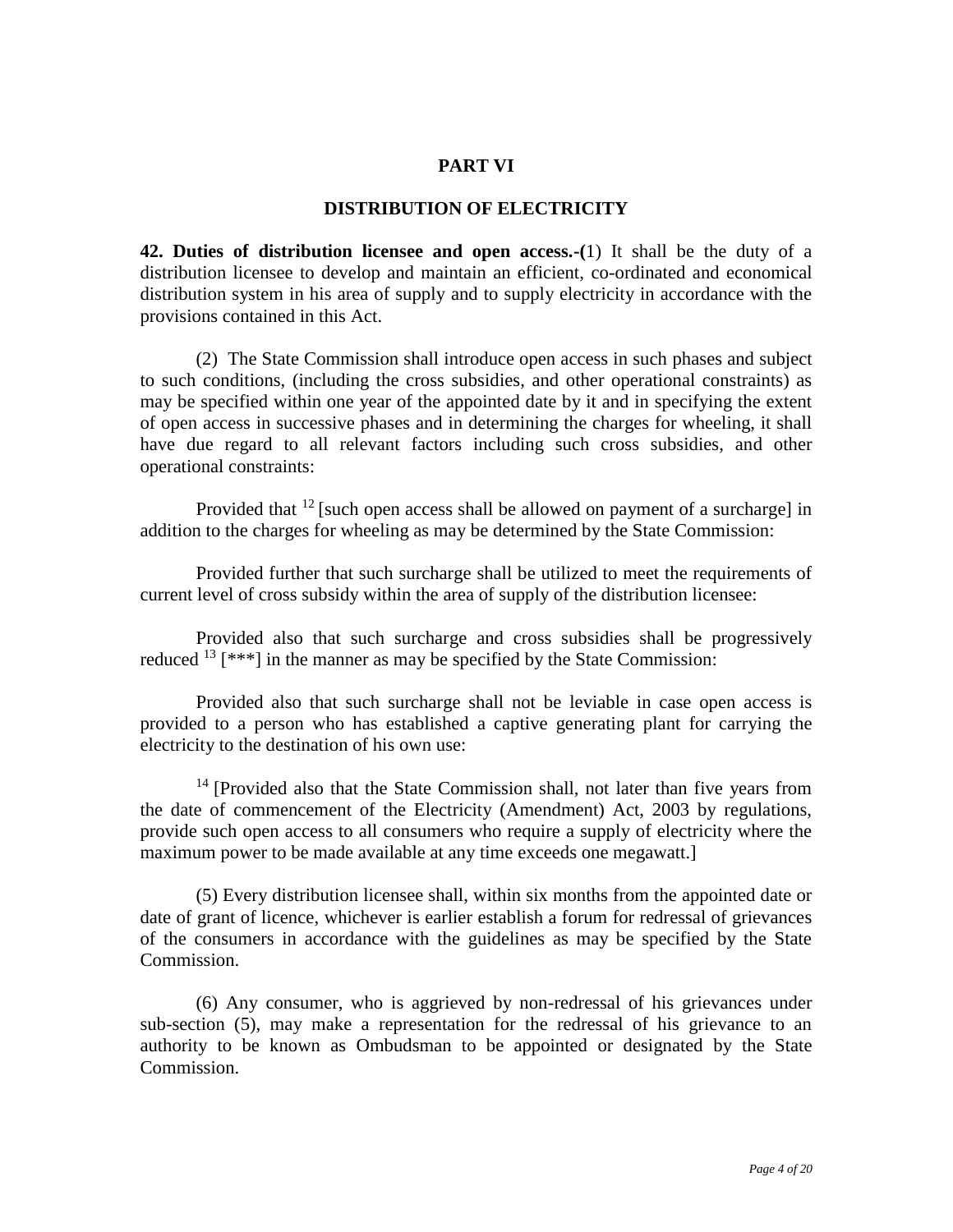### **PART VI**

#### **DISTRIBUTION OF ELECTRICITY**

**42. Duties of distribution licensee and open access.-(**1) It shall be the duty of a distribution licensee to develop and maintain an efficient, co-ordinated and economical distribution system in his area of supply and to supply electricity in accordance with the provisions contained in this Act.

(2) The State Commission shall introduce open access in such phases and subject to such conditions, (including the cross subsidies, and other operational constraints) as may be specified within one year of the appointed date by it and in specifying the extent of open access in successive phases and in determining the charges for wheeling, it shall have due regard to all relevant factors including such cross subsidies, and other operational constraints:

Provided that  $12$  [such open access shall be allowed on payment of a surcharge] in addition to the charges for wheeling as may be determined by the State Commission:

Provided further that such surcharge shall be utilized to meet the requirements of current level of cross subsidy within the area of supply of the distribution licensee:

Provided also that such surcharge and cross subsidies shall be progressively reduced  $^{13}$  [\*\*\*] in the manner as may be specified by the State Commission:

Provided also that such surcharge shall not be leviable in case open access is provided to a person who has established a captive generating plant for carrying the electricity to the destination of his own use:

 $14$  [Provided also that the State Commission shall, not later than five years from the date of commencement of the Electricity (Amendment) Act, 2003 by regulations, provide such open access to all consumers who require a supply of electricity where the maximum power to be made available at any time exceeds one megawatt.]

(5) Every distribution licensee shall, within six months from the appointed date or date of grant of licence, whichever is earlier establish a forum for redressal of grievances of the consumers in accordance with the guidelines as may be specified by the State Commission.

(6) Any consumer, who is aggrieved by non-redressal of his grievances under sub-section (5), may make a representation for the redressal of his grievance to an authority to be known as Ombudsman to be appointed or designated by the State Commission.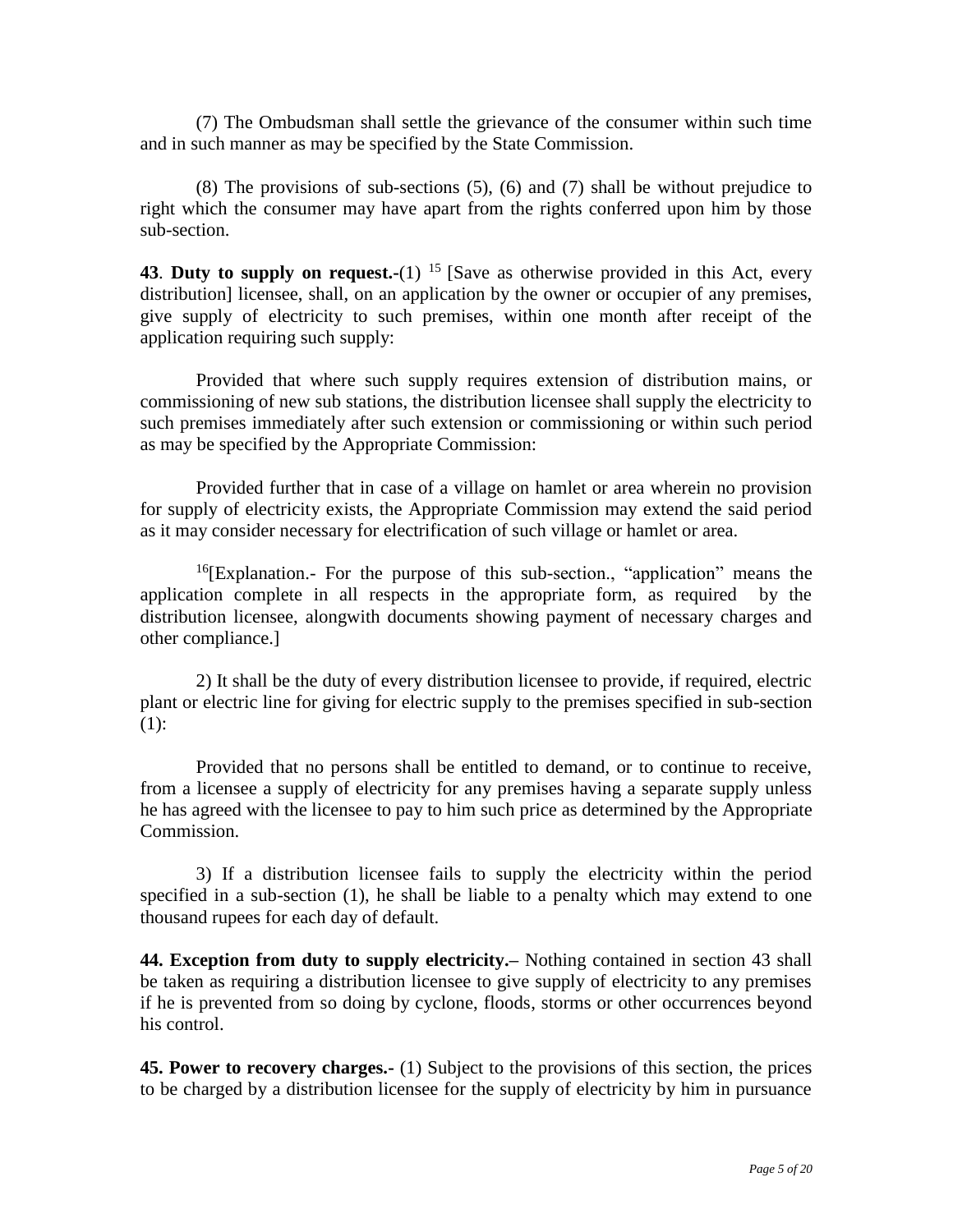(7) The Ombudsman shall settle the grievance of the consumer within such time and in such manner as may be specified by the State Commission.

(8) The provisions of sub-sections (5), (6) and (7) shall be without prejudice to right which the consumer may have apart from the rights conferred upon him by those sub-section.

**43. Duty to supply on request.-(1)** <sup>15</sup> [Save as otherwise provided in this Act, every distribution] licensee, shall, on an application by the owner or occupier of any premises, give supply of electricity to such premises, within one month after receipt of the application requiring such supply:

Provided that where such supply requires extension of distribution mains, or commissioning of new sub stations, the distribution licensee shall supply the electricity to such premises immediately after such extension or commissioning or within such period as may be specified by the Appropriate Commission:

Provided further that in case of a village on hamlet or area wherein no provision for supply of electricity exists, the Appropriate Commission may extend the said period as it may consider necessary for electrification of such village or hamlet or area.

 $16$ [Explanation.- For the purpose of this sub-section., "application" means the application complete in all respects in the appropriate form, as required by the distribution licensee, alongwith documents showing payment of necessary charges and other compliance.]

2) It shall be the duty of every distribution licensee to provide, if required, electric plant or electric line for giving for electric supply to the premises specified in sub-section (1):

Provided that no persons shall be entitled to demand, or to continue to receive, from a licensee a supply of electricity for any premises having a separate supply unless he has agreed with the licensee to pay to him such price as determined by the Appropriate Commission.

3) If a distribution licensee fails to supply the electricity within the period specified in a sub-section (1), he shall be liable to a penalty which may extend to one thousand rupees for each day of default.

**44. Exception from duty to supply electricity.–** Nothing contained in section 43 shall be taken as requiring a distribution licensee to give supply of electricity to any premises if he is prevented from so doing by cyclone, floods, storms or other occurrences beyond his control.

**45. Power to recovery charges.-** (1) Subject to the provisions of this section, the prices to be charged by a distribution licensee for the supply of electricity by him in pursuance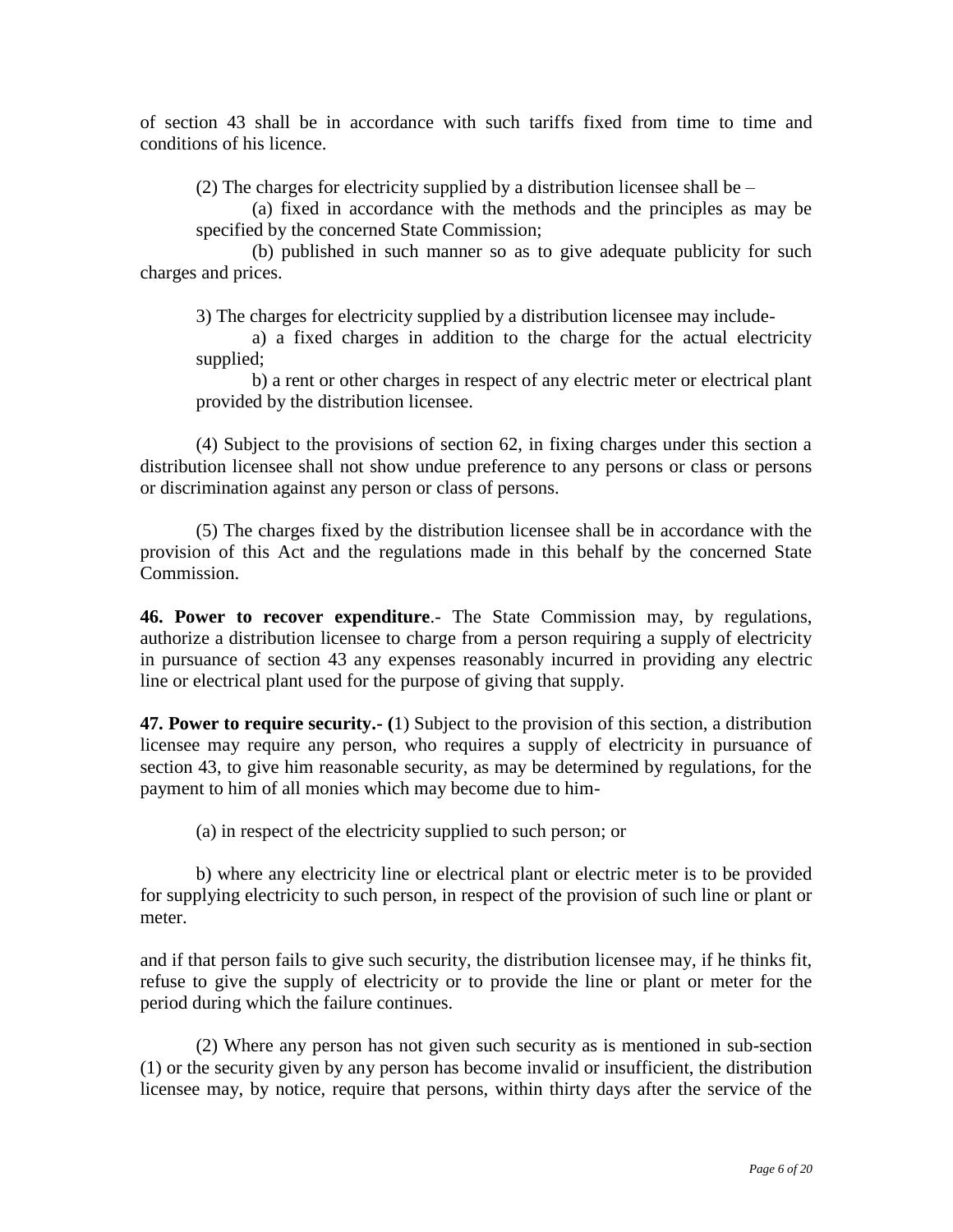of section 43 shall be in accordance with such tariffs fixed from time to time and conditions of his licence.

(2) The charges for electricity supplied by a distribution licensee shall be –

(a) fixed in accordance with the methods and the principles as may be specified by the concerned State Commission;

(b) published in such manner so as to give adequate publicity for such charges and prices.

3) The charges for electricity supplied by a distribution licensee may include-

a) a fixed charges in addition to the charge for the actual electricity supplied;

b) a rent or other charges in respect of any electric meter or electrical plant provided by the distribution licensee.

(4) Subject to the provisions of section 62, in fixing charges under this section a distribution licensee shall not show undue preference to any persons or class or persons or discrimination against any person or class of persons.

(5) The charges fixed by the distribution licensee shall be in accordance with the provision of this Act and the regulations made in this behalf by the concerned State Commission.

**46. Power to recover expenditure**.- The State Commission may, by regulations, authorize a distribution licensee to charge from a person requiring a supply of electricity in pursuance of section 43 any expenses reasonably incurred in providing any electric line or electrical plant used for the purpose of giving that supply.

**47. Power to require security.- (**1) Subject to the provision of this section, a distribution licensee may require any person, who requires a supply of electricity in pursuance of section 43, to give him reasonable security, as may be determined by regulations, for the payment to him of all monies which may become due to him-

(a) in respect of the electricity supplied to such person; or

b) where any electricity line or electrical plant or electric meter is to be provided for supplying electricity to such person, in respect of the provision of such line or plant or meter.

and if that person fails to give such security, the distribution licensee may, if he thinks fit, refuse to give the supply of electricity or to provide the line or plant or meter for the period during which the failure continues.

(2) Where any person has not given such security as is mentioned in sub-section (1) or the security given by any person has become invalid or insufficient, the distribution licensee may, by notice, require that persons, within thirty days after the service of the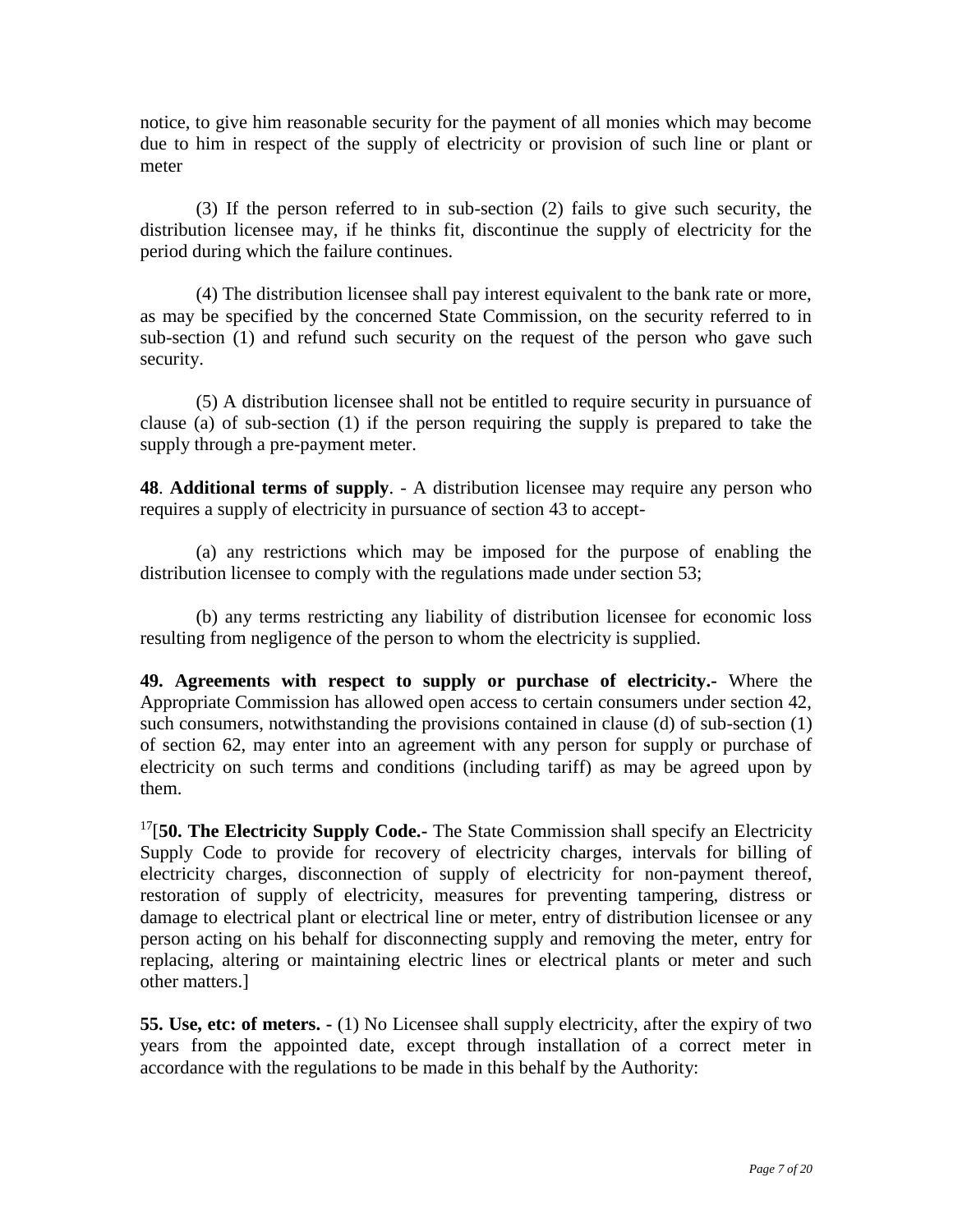notice, to give him reasonable security for the payment of all monies which may become due to him in respect of the supply of electricity or provision of such line or plant or meter

(3) If the person referred to in sub-section (2) fails to give such security, the distribution licensee may, if he thinks fit, discontinue the supply of electricity for the period during which the failure continues.

(4) The distribution licensee shall pay interest equivalent to the bank rate or more, as may be specified by the concerned State Commission, on the security referred to in sub-section (1) and refund such security on the request of the person who gave such security.

(5) A distribution licensee shall not be entitled to require security in pursuance of clause (a) of sub-section (1) if the person requiring the supply is prepared to take the supply through a pre-payment meter.

**48**. **Additional terms of supply**. - A distribution licensee may require any person who requires a supply of electricity in pursuance of section 43 to accept-

(a) any restrictions which may be imposed for the purpose of enabling the distribution licensee to comply with the regulations made under section 53;

(b) any terms restricting any liability of distribution licensee for economic loss resulting from negligence of the person to whom the electricity is supplied.

**49. Agreements with respect to supply or purchase of electricity.-** Where the Appropriate Commission has allowed open access to certain consumers under section 42, such consumers, notwithstanding the provisions contained in clause (d) of sub-section (1) of section 62, may enter into an agreement with any person for supply or purchase of electricity on such terms and conditions (including tariff) as may be agreed upon by them.

<sup>17</sup>[50. The Electricity Supply Code.- The State Commission shall specify an Electricity Supply Code to provide for recovery of electricity charges, intervals for billing of electricity charges, disconnection of supply of electricity for non-payment thereof, restoration of supply of electricity, measures for preventing tampering, distress or damage to electrical plant or electrical line or meter, entry of distribution licensee or any person acting on his behalf for disconnecting supply and removing the meter, entry for replacing, altering or maintaining electric lines or electrical plants or meter and such other matters.]

**55. Use, etc: of meters. -** (1) No Licensee shall supply electricity, after the expiry of two years from the appointed date, except through installation of a correct meter in accordance with the regulations to be made in this behalf by the Authority: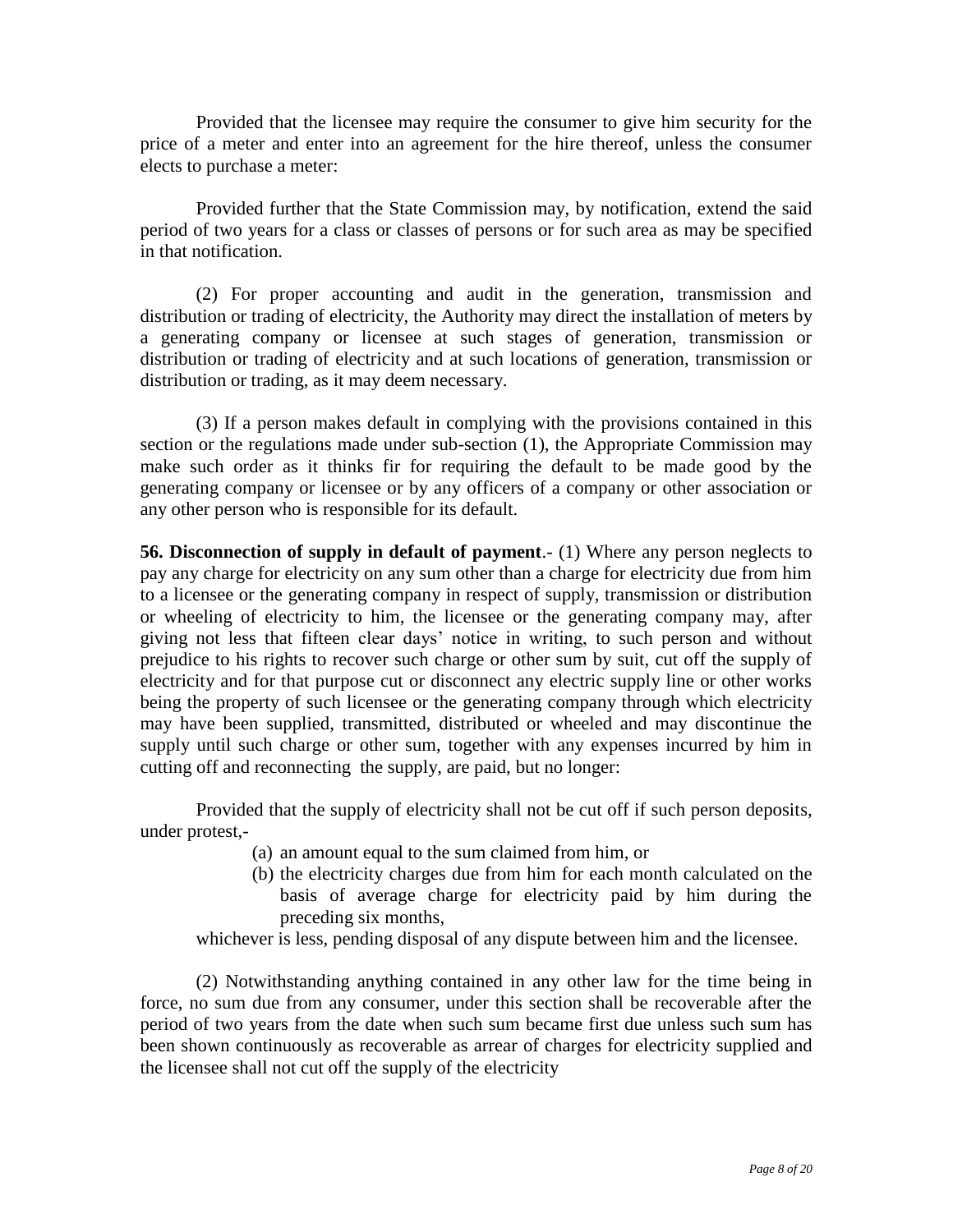Provided that the licensee may require the consumer to give him security for the price of a meter and enter into an agreement for the hire thereof, unless the consumer elects to purchase a meter:

Provided further that the State Commission may, by notification, extend the said period of two years for a class or classes of persons or for such area as may be specified in that notification.

(2) For proper accounting and audit in the generation, transmission and distribution or trading of electricity, the Authority may direct the installation of meters by a generating company or licensee at such stages of generation, transmission or distribution or trading of electricity and at such locations of generation, transmission or distribution or trading, as it may deem necessary.

(3) If a person makes default in complying with the provisions contained in this section or the regulations made under sub-section (1), the Appropriate Commission may make such order as it thinks fir for requiring the default to be made good by the generating company or licensee or by any officers of a company or other association or any other person who is responsible for its default.

**56. Disconnection of supply in default of payment**.- (1) Where any person neglects to pay any charge for electricity on any sum other than a charge for electricity due from him to a licensee or the generating company in respect of supply, transmission or distribution or wheeling of electricity to him, the licensee or the generating company may, after giving not less that fifteen clear days' notice in writing, to such person and without prejudice to his rights to recover such charge or other sum by suit, cut off the supply of electricity and for that purpose cut or disconnect any electric supply line or other works being the property of such licensee or the generating company through which electricity may have been supplied, transmitted, distributed or wheeled and may discontinue the supply until such charge or other sum, together with any expenses incurred by him in cutting off and reconnecting the supply, are paid, but no longer:

Provided that the supply of electricity shall not be cut off if such person deposits, under protest,-

- (a) an amount equal to the sum claimed from him, or
- (b) the electricity charges due from him for each month calculated on the basis of average charge for electricity paid by him during the preceding six months,

whichever is less, pending disposal of any dispute between him and the licensee.

(2) Notwithstanding anything contained in any other law for the time being in force, no sum due from any consumer, under this section shall be recoverable after the period of two years from the date when such sum became first due unless such sum has been shown continuously as recoverable as arrear of charges for electricity supplied and the licensee shall not cut off the supply of the electricity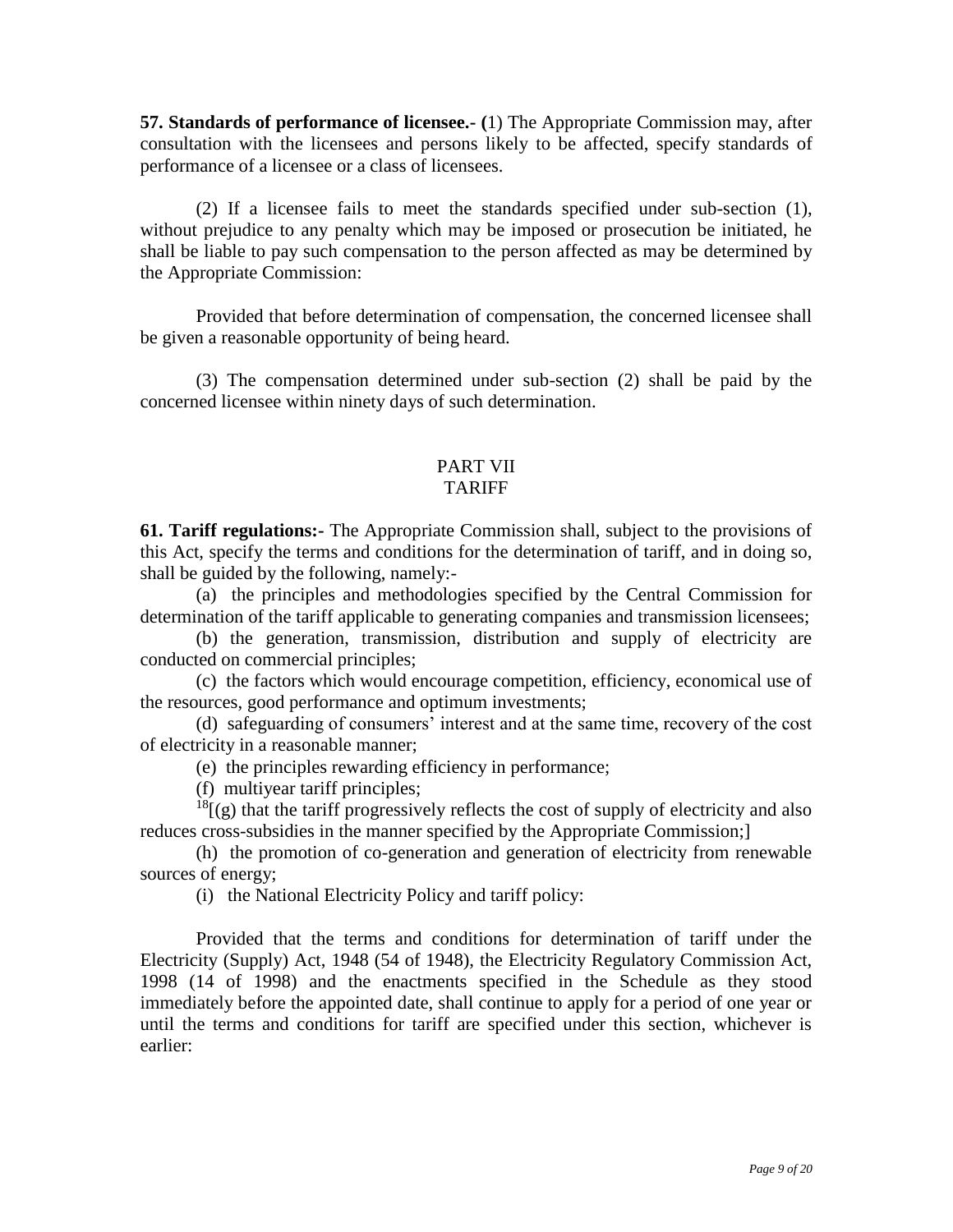**57. Standards of performance of licensee.- (**1) The Appropriate Commission may, after consultation with the licensees and persons likely to be affected, specify standards of performance of a licensee or a class of licensees.

(2) If a licensee fails to meet the standards specified under sub-section (1), without prejudice to any penalty which may be imposed or prosecution be initiated, he shall be liable to pay such compensation to the person affected as may be determined by the Appropriate Commission:

Provided that before determination of compensation, the concerned licensee shall be given a reasonable opportunity of being heard.

(3) The compensation determined under sub-section (2) shall be paid by the concerned licensee within ninety days of such determination.

#### PART VII TARIFF

**61. Tariff regulations:-** The Appropriate Commission shall, subject to the provisions of this Act, specify the terms and conditions for the determination of tariff, and in doing so, shall be guided by the following, namely:-

(a) the principles and methodologies specified by the Central Commission for determination of the tariff applicable to generating companies and transmission licensees;

(b) the generation, transmission, distribution and supply of electricity are conducted on commercial principles;

(c) the factors which would encourage competition, efficiency, economical use of the resources, good performance and optimum investments;

(d) safeguarding of consumers' interest and at the same time, recovery of the cost of electricity in a reasonable manner;

(e) the principles rewarding efficiency in performance;

(f) multiyear tariff principles;

 $^{18}$ [(g) that the tariff progressively reflects the cost of supply of electricity and also reduces cross-subsidies in the manner specified by the Appropriate Commission;]

(h) the promotion of co-generation and generation of electricity from renewable sources of energy;

(i) the National Electricity Policy and tariff policy:

Provided that the terms and conditions for determination of tariff under the Electricity (Supply) Act, 1948 (54 of 1948), the Electricity Regulatory Commission Act, 1998 (14 of 1998) and the enactments specified in the Schedule as they stood immediately before the appointed date, shall continue to apply for a period of one year or until the terms and conditions for tariff are specified under this section, whichever is earlier: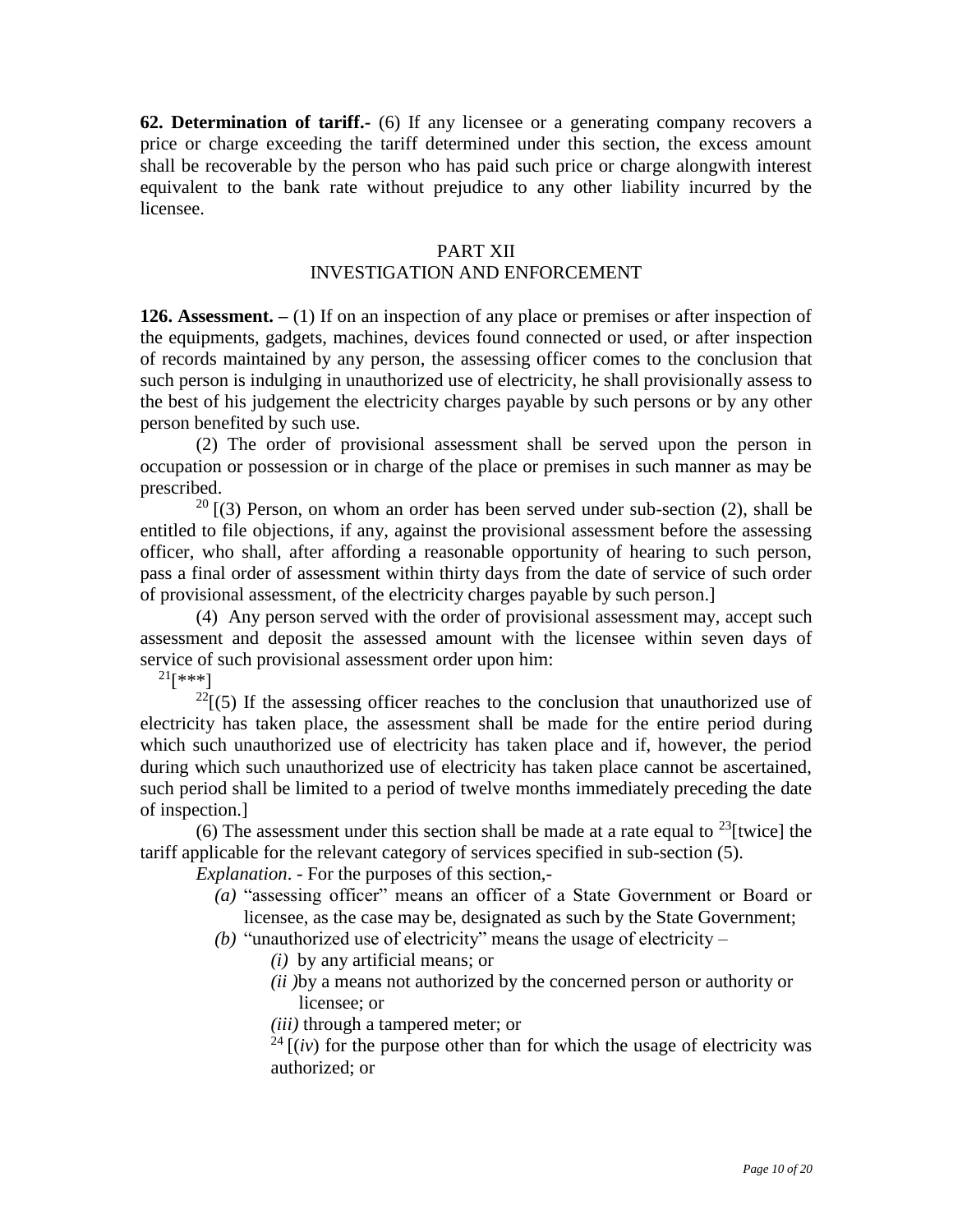**62. Determination of tariff.-** (6) If any licensee or a generating company recovers a price or charge exceeding the tariff determined under this section, the excess amount shall be recoverable by the person who has paid such price or charge alongwith interest equivalent to the bank rate without prejudice to any other liability incurred by the licensee.

#### PART XII

### INVESTIGATION AND ENFORCEMENT

**126. Assessment. –** (1) If on an inspection of any place or premises or after inspection of the equipments, gadgets, machines, devices found connected or used, or after inspection of records maintained by any person, the assessing officer comes to the conclusion that such person is indulging in unauthorized use of electricity, he shall provisionally assess to the best of his judgement the electricity charges payable by such persons or by any other person benefited by such use.

(2) The order of provisional assessment shall be served upon the person in occupation or possession or in charge of the place or premises in such manner as may be prescribed.

 $20$  [(3) Person, on whom an order has been served under sub-section (2), shall be entitled to file objections, if any, against the provisional assessment before the assessing officer, who shall, after affording a reasonable opportunity of hearing to such person, pass a final order of assessment within thirty days from the date of service of such order of provisional assessment, of the electricity charges payable by such person.]

(4) Any person served with the order of provisional assessment may, accept such assessment and deposit the assessed amount with the licensee within seven days of service of such provisional assessment order upon him:

 $^{21}[***]$ 

 $^{22}$ [(5) If the assessing officer reaches to the conclusion that unauthorized use of electricity has taken place, the assessment shall be made for the entire period during which such unauthorized use of electricity has taken place and if, however, the period during which such unauthorized use of electricity has taken place cannot be ascertained, such period shall be limited to a period of twelve months immediately preceding the date of inspection.]

(6) The assessment under this section shall be made at a rate equal to  $^{23}$ [twice] the tariff applicable for the relevant category of services specified in sub-section (5).

*Explanation*. - For the purposes of this section,-

- *(a)* "assessing officer" means an officer of a State Government or Board or licensee, as the case may be, designated as such by the State Government;
- *(b)* "unauthorized use of electricity" means the usage of electricity
	- *(i)* by any artificial means; or
	- *(ii )*by a means not authorized by the concerned person or authority or licensee; or
	- *(iii)* through a tampered meter; or

 $24$  [(*iv*) for the purpose other than for which the usage of electricity was authorized; or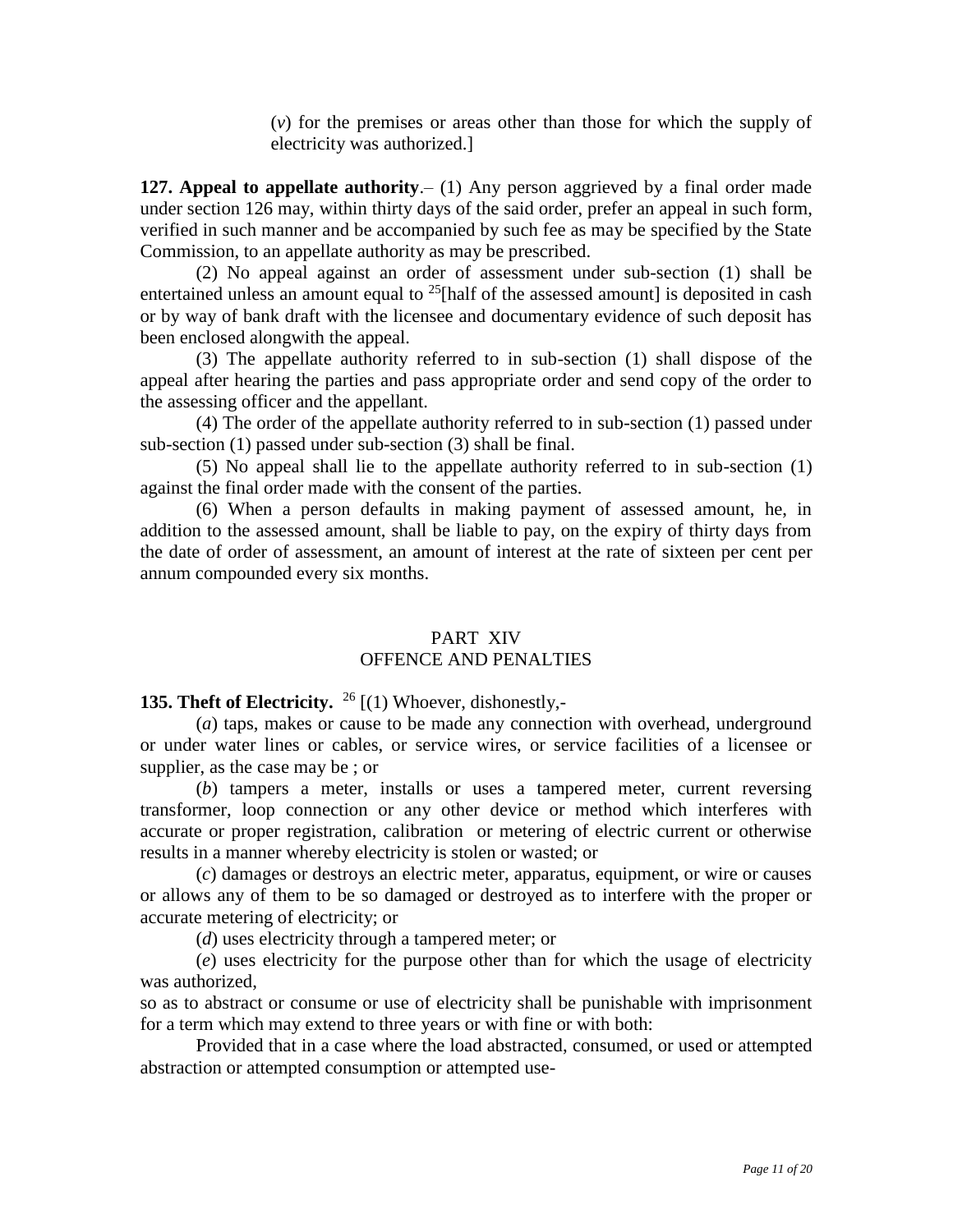(*v*) for the premises or areas other than those for which the supply of electricity was authorized.]

**127. Appeal to appellate authority**.– (1) Any person aggrieved by a final order made under section 126 may, within thirty days of the said order, prefer an appeal in such form, verified in such manner and be accompanied by such fee as may be specified by the State Commission, to an appellate authority as may be prescribed.

(2) No appeal against an order of assessment under sub-section (1) shall be entertained unless an amount equal to  $^{25}$ [half of the assessed amount] is deposited in cash or by way of bank draft with the licensee and documentary evidence of such deposit has been enclosed alongwith the appeal.

(3) The appellate authority referred to in sub-section (1) shall dispose of the appeal after hearing the parties and pass appropriate order and send copy of the order to the assessing officer and the appellant.

(4) The order of the appellate authority referred to in sub-section (1) passed under sub-section (1) passed under sub-section (3) shall be final.

(5) No appeal shall lie to the appellate authority referred to in sub-section (1) against the final order made with the consent of the parties.

(6) When a person defaults in making payment of assessed amount, he, in addition to the assessed amount, shall be liable to pay, on the expiry of thirty days from the date of order of assessment, an amount of interest at the rate of sixteen per cent per annum compounded every six months.

# PART XIV OFFENCE AND PENALTIES

# **135. Theft of Electricity.**  <sup>26</sup> [(1) Whoever, dishonestly,-

(*a*) taps, makes or cause to be made any connection with overhead, underground or under water lines or cables, or service wires, or service facilities of a licensee or supplier, as the case may be ; or

(*b*) tampers a meter, installs or uses a tampered meter, current reversing transformer, loop connection or any other device or method which interferes with accurate or proper registration, calibration or metering of electric current or otherwise results in a manner whereby electricity is stolen or wasted; or

(*c*) damages or destroys an electric meter, apparatus, equipment, or wire or causes or allows any of them to be so damaged or destroyed as to interfere with the proper or accurate metering of electricity; or

(*d*) uses electricity through a tampered meter; or

(*e*) uses electricity for the purpose other than for which the usage of electricity was authorized,

so as to abstract or consume or use of electricity shall be punishable with imprisonment for a term which may extend to three years or with fine or with both:

Provided that in a case where the load abstracted, consumed, or used or attempted abstraction or attempted consumption or attempted use-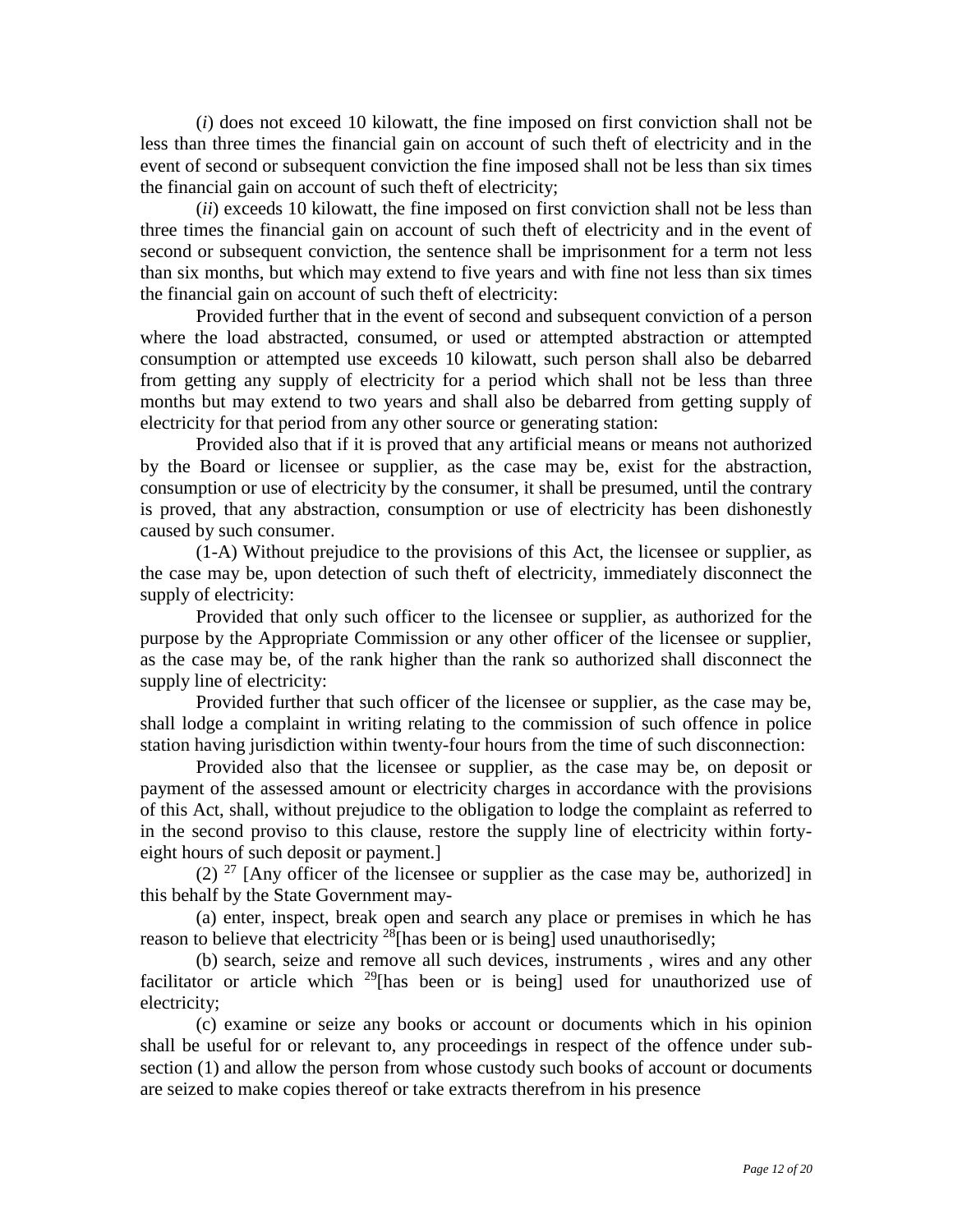(*i*) does not exceed 10 kilowatt, the fine imposed on first conviction shall not be less than three times the financial gain on account of such theft of electricity and in the event of second or subsequent conviction the fine imposed shall not be less than six times the financial gain on account of such theft of electricity;

(*ii*) exceeds 10 kilowatt, the fine imposed on first conviction shall not be less than three times the financial gain on account of such theft of electricity and in the event of second or subsequent conviction, the sentence shall be imprisonment for a term not less than six months, but which may extend to five years and with fine not less than six times the financial gain on account of such theft of electricity:

Provided further that in the event of second and subsequent conviction of a person where the load abstracted, consumed, or used or attempted abstraction or attempted consumption or attempted use exceeds 10 kilowatt, such person shall also be debarred from getting any supply of electricity for a period which shall not be less than three months but may extend to two years and shall also be debarred from getting supply of electricity for that period from any other source or generating station:

Provided also that if it is proved that any artificial means or means not authorized by the Board or licensee or supplier, as the case may be, exist for the abstraction, consumption or use of electricity by the consumer, it shall be presumed, until the contrary is proved, that any abstraction, consumption or use of electricity has been dishonestly caused by such consumer.

(1-A) Without prejudice to the provisions of this Act, the licensee or supplier, as the case may be, upon detection of such theft of electricity, immediately disconnect the supply of electricity:

Provided that only such officer to the licensee or supplier, as authorized for the purpose by the Appropriate Commission or any other officer of the licensee or supplier, as the case may be, of the rank higher than the rank so authorized shall disconnect the supply line of electricity:

Provided further that such officer of the licensee or supplier, as the case may be, shall lodge a complaint in writing relating to the commission of such offence in police station having jurisdiction within twenty-four hours from the time of such disconnection:

Provided also that the licensee or supplier, as the case may be, on deposit or payment of the assessed amount or electricity charges in accordance with the provisions of this Act, shall, without prejudice to the obligation to lodge the complaint as referred to in the second proviso to this clause, restore the supply line of electricity within fortyeight hours of such deposit or payment.]

(2)  $^{27}$  [Any officer of the licensee or supplier as the case may be, authorized] in this behalf by the State Government may-

(a) enter, inspect, break open and search any place or premises in which he has reason to believe that electricity  $^{28}$ [has been or is being] used unauthorisedly;

(b) search, seize and remove all such devices, instruments , wires and any other facilitator or article which  $^{29}$ [has been or is being] used for unauthorized use of electricity;

(c) examine or seize any books or account or documents which in his opinion shall be useful for or relevant to, any proceedings in respect of the offence under subsection (1) and allow the person from whose custody such books of account or documents are seized to make copies thereof or take extracts therefrom in his presence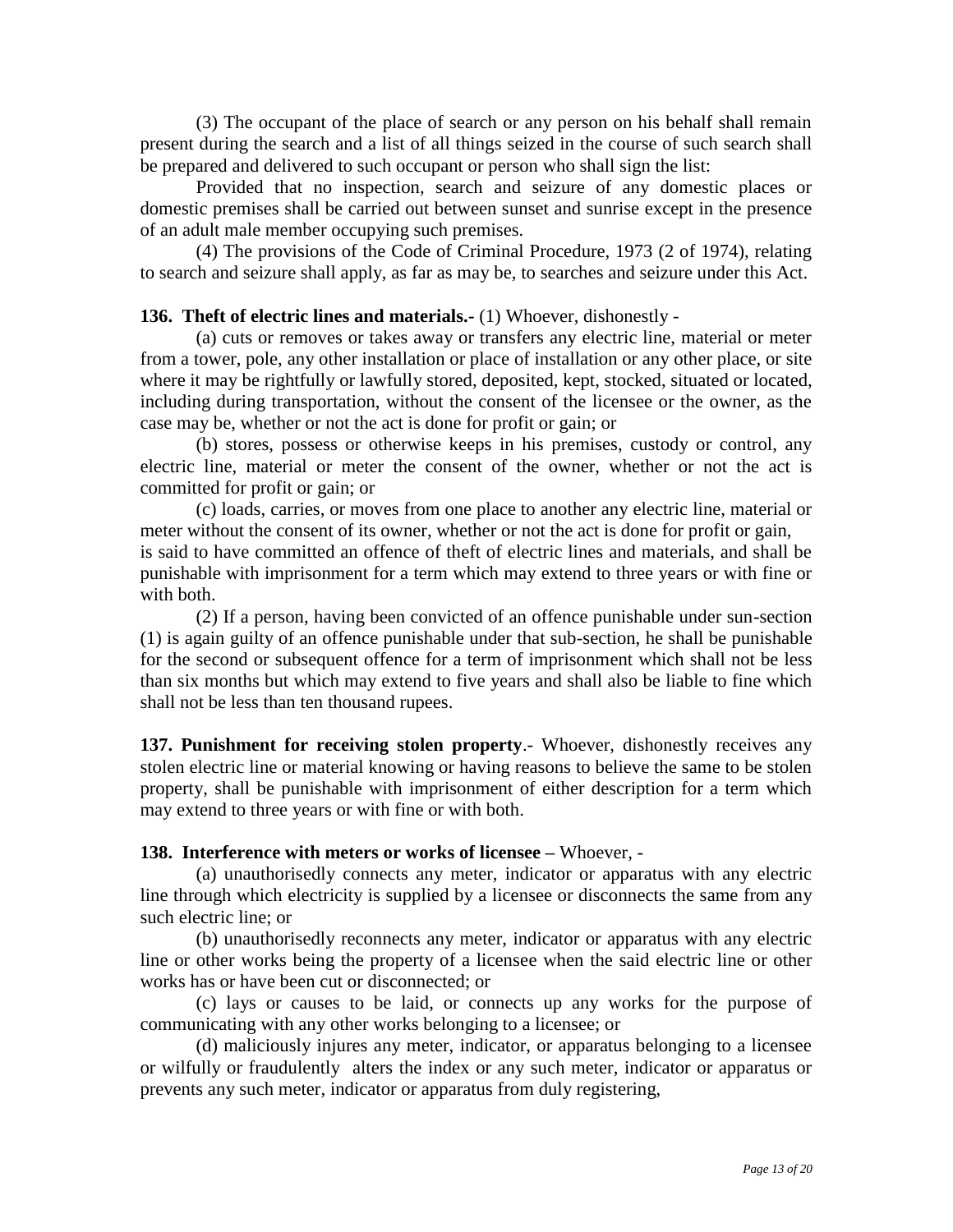(3) The occupant of the place of search or any person on his behalf shall remain present during the search and a list of all things seized in the course of such search shall be prepared and delivered to such occupant or person who shall sign the list:

Provided that no inspection, search and seizure of any domestic places or domestic premises shall be carried out between sunset and sunrise except in the presence of an adult male member occupying such premises.

(4) The provisions of the Code of Criminal Procedure, 1973 (2 of 1974), relating to search and seizure shall apply, as far as may be, to searches and seizure under this Act.

### **136. Theft of electric lines and materials.-** (1) Whoever, dishonestly -

(a) cuts or removes or takes away or transfers any electric line, material or meter from a tower, pole, any other installation or place of installation or any other place, or site where it may be rightfully or lawfully stored, deposited, kept, stocked, situated or located, including during transportation, without the consent of the licensee or the owner, as the case may be, whether or not the act is done for profit or gain; or

(b) stores, possess or otherwise keeps in his premises, custody or control, any electric line, material or meter the consent of the owner, whether or not the act is committed for profit or gain; or

(c) loads, carries, or moves from one place to another any electric line, material or meter without the consent of its owner, whether or not the act is done for profit or gain, is said to have committed an offence of theft of electric lines and materials, and shall be punishable with imprisonment for a term which may extend to three years or with fine or with both.

(2) If a person, having been convicted of an offence punishable under sun-section (1) is again guilty of an offence punishable under that sub-section, he shall be punishable for the second or subsequent offence for a term of imprisonment which shall not be less than six months but which may extend to five years and shall also be liable to fine which shall not be less than ten thousand rupees.

**137. Punishment for receiving stolen property**.- Whoever, dishonestly receives any stolen electric line or material knowing or having reasons to believe the same to be stolen property, shall be punishable with imprisonment of either description for a term which may extend to three years or with fine or with both.

#### **138. Interference with meters or works of licensee –** Whoever, -

(a) unauthorisedly connects any meter, indicator or apparatus with any electric line through which electricity is supplied by a licensee or disconnects the same from any such electric line; or

(b) unauthorisedly reconnects any meter, indicator or apparatus with any electric line or other works being the property of a licensee when the said electric line or other works has or have been cut or disconnected; or

(c) lays or causes to be laid, or connects up any works for the purpose of communicating with any other works belonging to a licensee; or

(d) maliciously injures any meter, indicator, or apparatus belonging to a licensee or wilfully or fraudulently alters the index or any such meter, indicator or apparatus or prevents any such meter, indicator or apparatus from duly registering,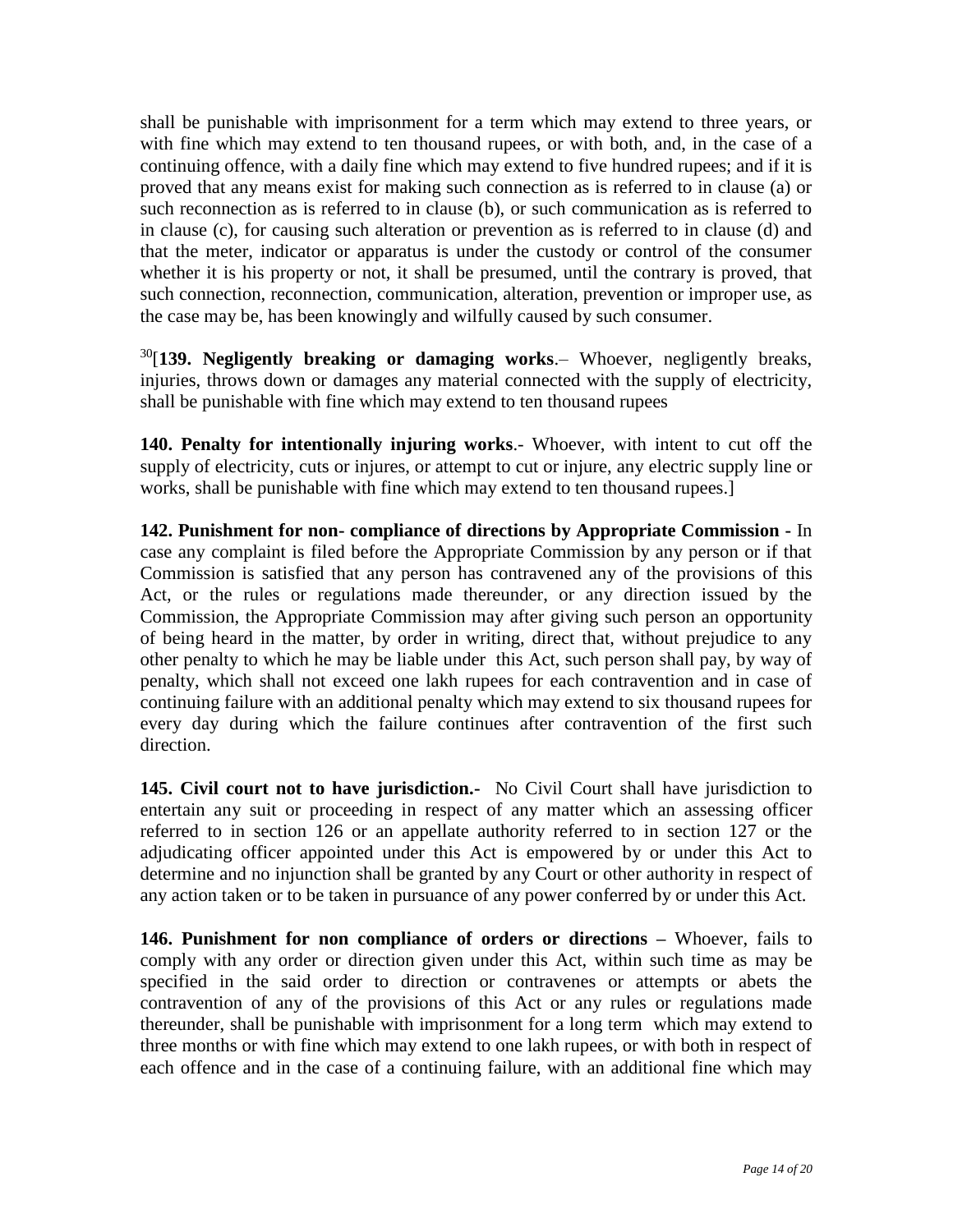shall be punishable with imprisonment for a term which may extend to three years, or with fine which may extend to ten thousand rupees, or with both, and, in the case of a continuing offence, with a daily fine which may extend to five hundred rupees; and if it is proved that any means exist for making such connection as is referred to in clause (a) or such reconnection as is referred to in clause (b), or such communication as is referred to in clause (c), for causing such alteration or prevention as is referred to in clause (d) and that the meter, indicator or apparatus is under the custody or control of the consumer whether it is his property or not, it shall be presumed, until the contrary is proved, that such connection, reconnection, communication, alteration, prevention or improper use, as the case may be, has been knowingly and wilfully caused by such consumer.

<sup>30</sup>[**139. Negligently breaking or damaging works**.– Whoever, negligently breaks, injuries, throws down or damages any material connected with the supply of electricity, shall be punishable with fine which may extend to ten thousand rupees

**140. Penalty for intentionally injuring works**.- Whoever, with intent to cut off the supply of electricity, cuts or injures, or attempt to cut or injure, any electric supply line or works, shall be punishable with fine which may extend to ten thousand rupees.]

**142. Punishment for non- compliance of directions by Appropriate Commission -** In case any complaint is filed before the Appropriate Commission by any person or if that Commission is satisfied that any person has contravened any of the provisions of this Act, or the rules or regulations made thereunder, or any direction issued by the Commission, the Appropriate Commission may after giving such person an opportunity of being heard in the matter, by order in writing, direct that, without prejudice to any other penalty to which he may be liable under this Act, such person shall pay, by way of penalty, which shall not exceed one lakh rupees for each contravention and in case of continuing failure with an additional penalty which may extend to six thousand rupees for every day during which the failure continues after contravention of the first such direction.

**145. Civil court not to have jurisdiction.-** No Civil Court shall have jurisdiction to entertain any suit or proceeding in respect of any matter which an assessing officer referred to in section 126 or an appellate authority referred to in section 127 or the adjudicating officer appointed under this Act is empowered by or under this Act to determine and no injunction shall be granted by any Court or other authority in respect of any action taken or to be taken in pursuance of any power conferred by or under this Act.

**146. Punishment for non compliance of orders or directions –** Whoever, fails to comply with any order or direction given under this Act, within such time as may be specified in the said order to direction or contravenes or attempts or abets the contravention of any of the provisions of this Act or any rules or regulations made thereunder, shall be punishable with imprisonment for a long term which may extend to three months or with fine which may extend to one lakh rupees, or with both in respect of each offence and in the case of a continuing failure, with an additional fine which may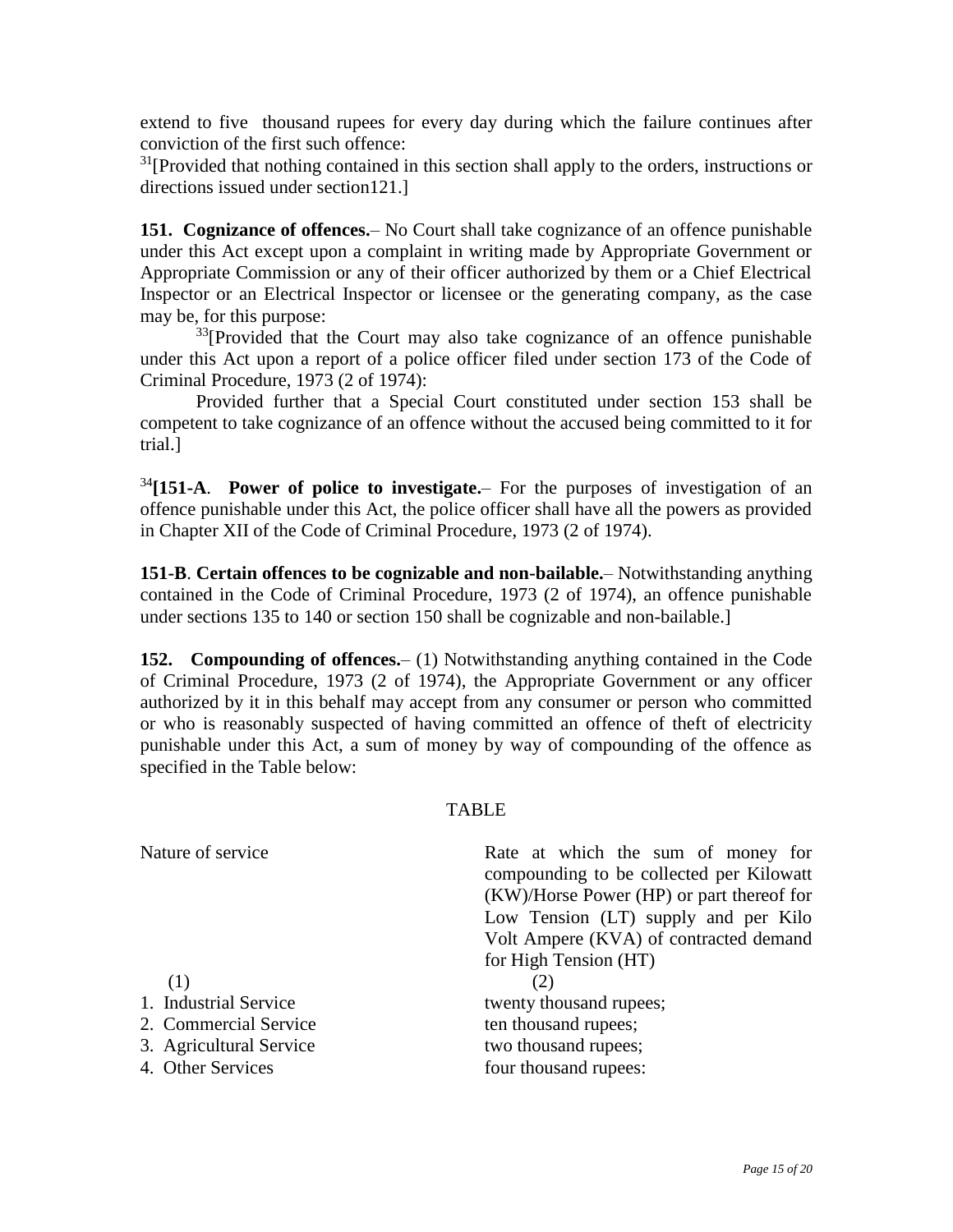extend to five thousand rupees for every day during which the failure continues after conviction of the first such offence:

 $31$ [Provided that nothing contained in this section shall apply to the orders, instructions or directions issued under section121.]

**151. Cognizance of offences.**– No Court shall take cognizance of an offence punishable under this Act except upon a complaint in writing made by Appropriate Government or Appropriate Commission or any of their officer authorized by them or a Chief Electrical Inspector or an Electrical Inspector or licensee or the generating company, as the case may be, for this purpose:

 $33$ [Provided that the Court may also take cognizance of an offence punishable under this Act upon a report of a police officer filed under section 173 of the Code of Criminal Procedure, 1973 (2 of 1974):

Provided further that a Special Court constituted under section 153 shall be competent to take cognizance of an offence without the accused being committed to it for trial.]

<sup>34</sup>**[151-A**. **Power of police to investigate.**– For the purposes of investigation of an offence punishable under this Act, the police officer shall have all the powers as provided in Chapter XII of the Code of Criminal Procedure, 1973 (2 of 1974).

**151-B**. **Certain offences to be cognizable and non-bailable.**– Notwithstanding anything contained in the Code of Criminal Procedure, 1973 (2 of 1974), an offence punishable under sections 135 to 140 or section 150 shall be cognizable and non-bailable.]

**152. Compounding of offences.**– (1) Notwithstanding anything contained in the Code of Criminal Procedure, 1973 (2 of 1974), the Appropriate Government or any officer authorized by it in this behalf may accept from any consumer or person who committed or who is reasonably suspected of having committed an offence of theft of electricity punishable under this Act, a sum of money by way of compounding of the offence as specified in the Table below:

## TABLE

| Nature of service       | Rate at which the sum of money for<br>compounding to be collected per Kilowatt<br>(KW)/Horse Power (HP) or part thereof for<br>Low Tension (LT) supply and per Kilo<br>Volt Ampere (KVA) of contracted demand<br>for High Tension (HT) |
|-------------------------|----------------------------------------------------------------------------------------------------------------------------------------------------------------------------------------------------------------------------------------|
| (1)                     | (2)                                                                                                                                                                                                                                    |
| 1. Industrial Service   | twenty thousand rupees;                                                                                                                                                                                                                |
| 2. Commercial Service   | ten thousand rupees;                                                                                                                                                                                                                   |
| 3. Agricultural Service | two thousand rupees;                                                                                                                                                                                                                   |
| 4. Other Services       | four thousand rupees:                                                                                                                                                                                                                  |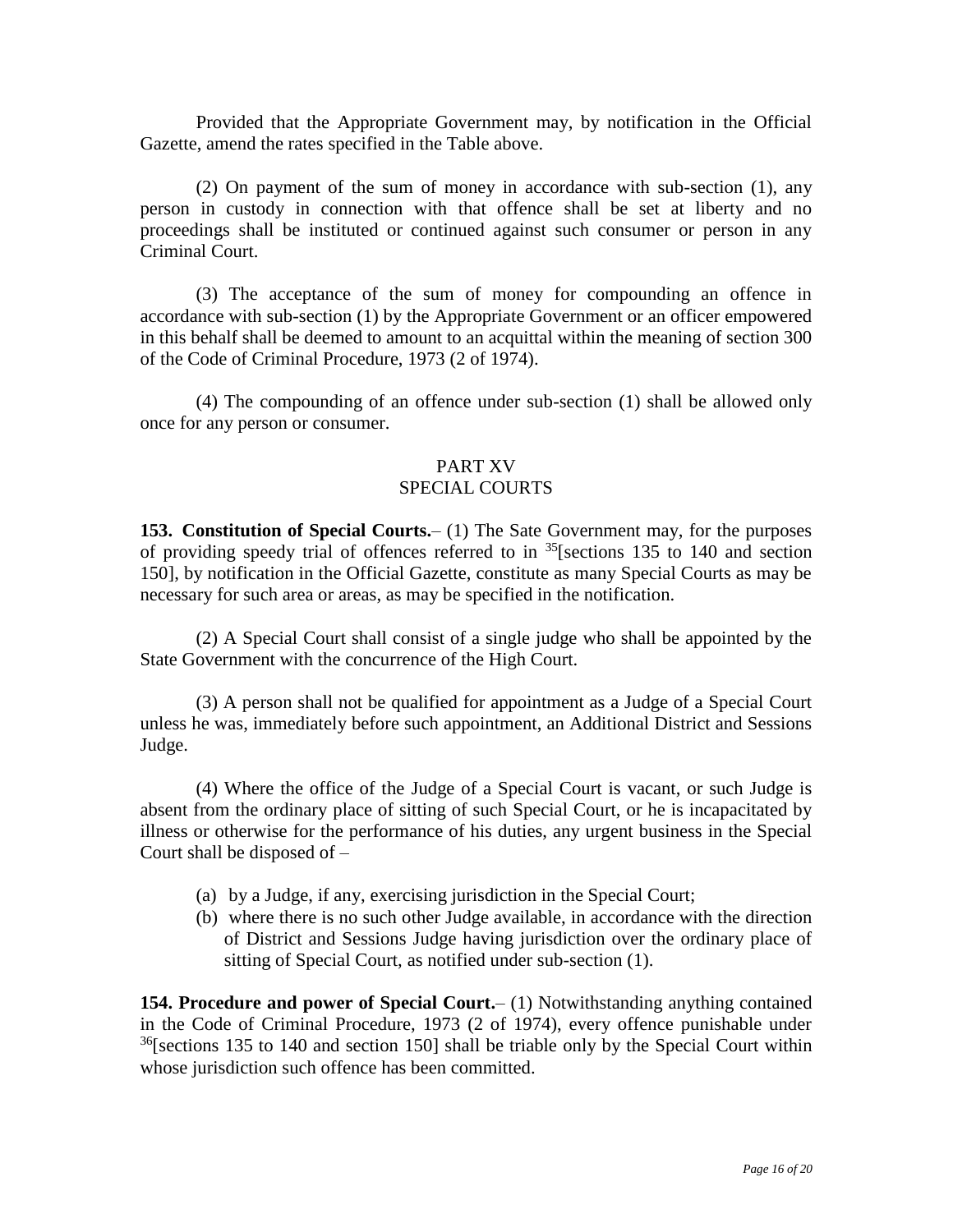Provided that the Appropriate Government may, by notification in the Official Gazette, amend the rates specified in the Table above.

(2) On payment of the sum of money in accordance with sub-section (1), any person in custody in connection with that offence shall be set at liberty and no proceedings shall be instituted or continued against such consumer or person in any Criminal Court.

(3) The acceptance of the sum of money for compounding an offence in accordance with sub-section (1) by the Appropriate Government or an officer empowered in this behalf shall be deemed to amount to an acquittal within the meaning of section 300 of the Code of Criminal Procedure, 1973 (2 of 1974).

(4) The compounding of an offence under sub-section (1) shall be allowed only once for any person or consumer.

### PART XV SPECIAL COURTS

**153. Constitution of Special Courts.**– (1) The Sate Government may, for the purposes of providing speedy trial of offences referred to in  $^{35}$ [sections 135 to 140 and section 150], by notification in the Official Gazette, constitute as many Special Courts as may be necessary for such area or areas, as may be specified in the notification.

(2) A Special Court shall consist of a single judge who shall be appointed by the State Government with the concurrence of the High Court.

(3) A person shall not be qualified for appointment as a Judge of a Special Court unless he was, immediately before such appointment, an Additional District and Sessions Judge.

(4) Where the office of the Judge of a Special Court is vacant, or such Judge is absent from the ordinary place of sitting of such Special Court, or he is incapacitated by illness or otherwise for the performance of his duties, any urgent business in the Special Court shall be disposed of –

- (a) by a Judge, if any, exercising jurisdiction in the Special Court;
- (b) where there is no such other Judge available, in accordance with the direction of District and Sessions Judge having jurisdiction over the ordinary place of sitting of Special Court, as notified under sub-section (1).

**154. Procedure and power of Special Court.**– (1) Notwithstanding anything contained in the Code of Criminal Procedure, 1973 (2 of 1974), every offence punishable under  $36$ [sections 135 to 140 and section 150] shall be triable only by the Special Court within whose jurisdiction such offence has been committed.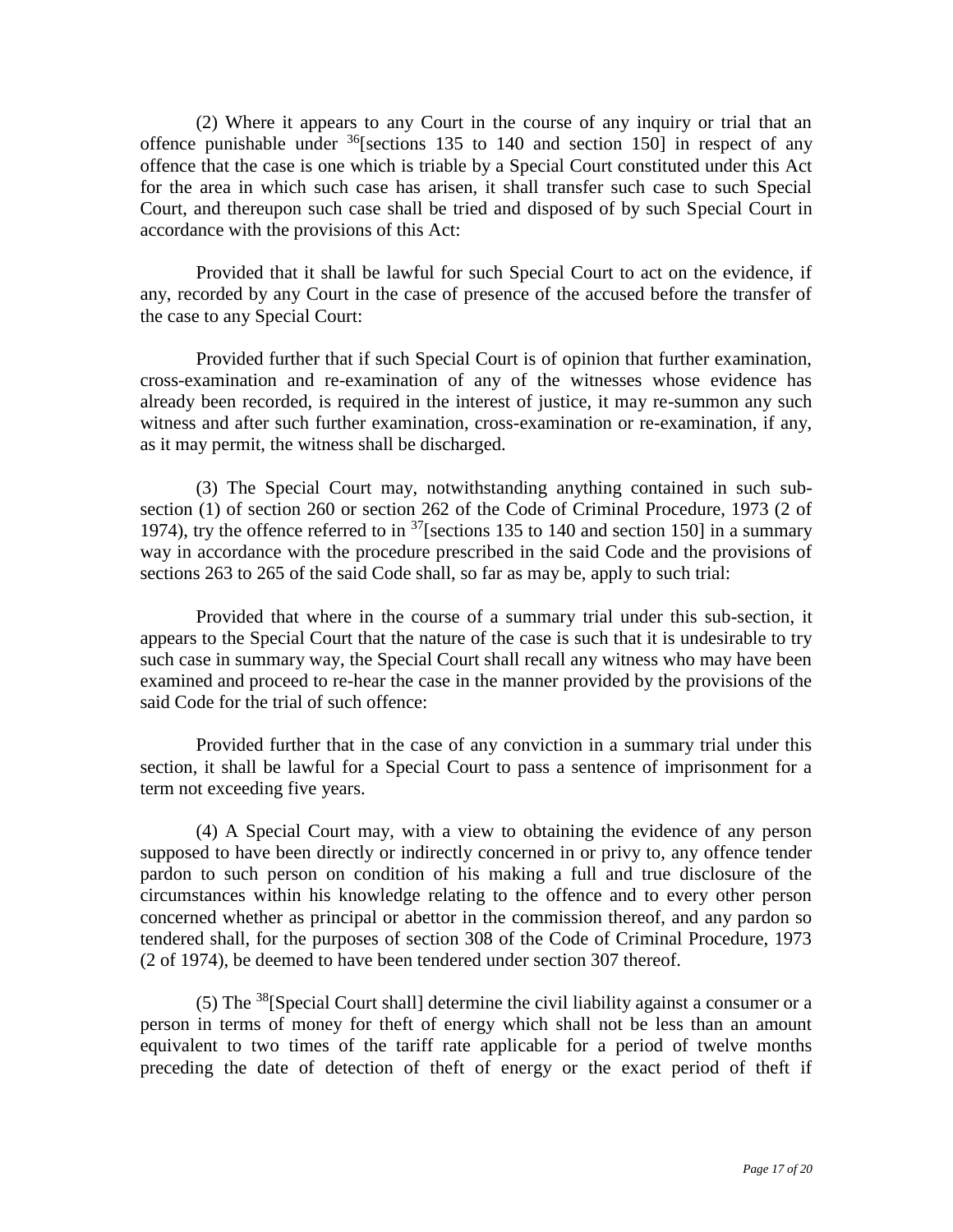(2) Where it appears to any Court in the course of any inquiry or trial that an offence punishable under  $36$ [sections 135 to 140 and section 150] in respect of any offence that the case is one which is triable by a Special Court constituted under this Act for the area in which such case has arisen, it shall transfer such case to such Special Court, and thereupon such case shall be tried and disposed of by such Special Court in accordance with the provisions of this Act:

Provided that it shall be lawful for such Special Court to act on the evidence, if any, recorded by any Court in the case of presence of the accused before the transfer of the case to any Special Court:

Provided further that if such Special Court is of opinion that further examination, cross-examination and re-examination of any of the witnesses whose evidence has already been recorded, is required in the interest of justice, it may re-summon any such witness and after such further examination, cross-examination or re-examination, if any, as it may permit, the witness shall be discharged.

(3) The Special Court may, notwithstanding anything contained in such subsection (1) of section 260 or section 262 of the Code of Criminal Procedure, 1973 (2 of 1974), try the offence referred to in  $37$ [sections 135 to 140 and section 150] in a summary way in accordance with the procedure prescribed in the said Code and the provisions of sections 263 to 265 of the said Code shall, so far as may be, apply to such trial:

Provided that where in the course of a summary trial under this sub-section, it appears to the Special Court that the nature of the case is such that it is undesirable to try such case in summary way, the Special Court shall recall any witness who may have been examined and proceed to re-hear the case in the manner provided by the provisions of the said Code for the trial of such offence:

Provided further that in the case of any conviction in a summary trial under this section, it shall be lawful for a Special Court to pass a sentence of imprisonment for a term not exceeding five years.

(4) A Special Court may, with a view to obtaining the evidence of any person supposed to have been directly or indirectly concerned in or privy to, any offence tender pardon to such person on condition of his making a full and true disclosure of the circumstances within his knowledge relating to the offence and to every other person concerned whether as principal or abettor in the commission thereof, and any pardon so tendered shall, for the purposes of section 308 of the Code of Criminal Procedure, 1973 (2 of 1974), be deemed to have been tendered under section 307 thereof.

(5) The  $38$ [Special Court shall] determine the civil liability against a consumer or a person in terms of money for theft of energy which shall not be less than an amount equivalent to two times of the tariff rate applicable for a period of twelve months preceding the date of detection of theft of energy or the exact period of theft if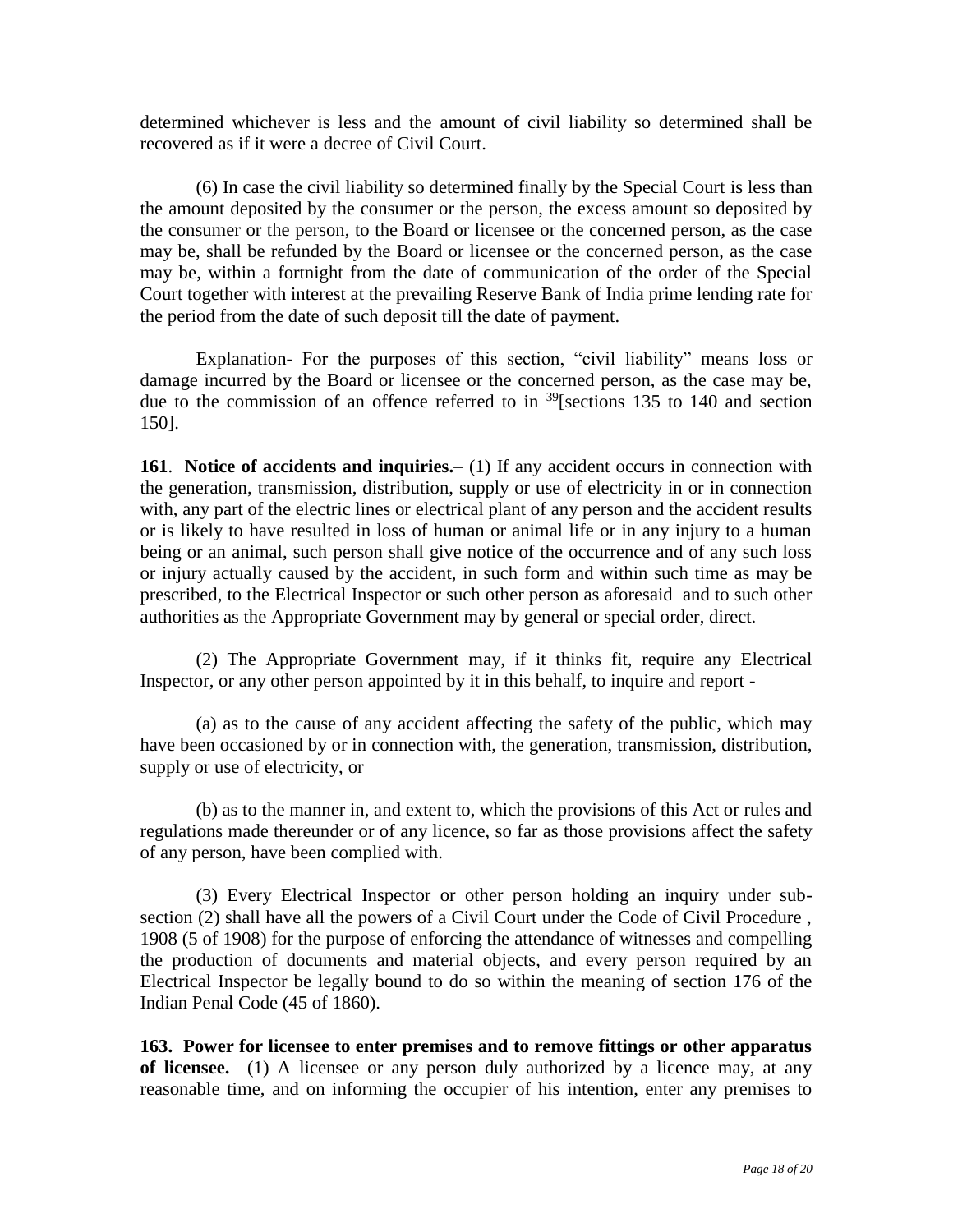determined whichever is less and the amount of civil liability so determined shall be recovered as if it were a decree of Civil Court.

(6) In case the civil liability so determined finally by the Special Court is less than the amount deposited by the consumer or the person, the excess amount so deposited by the consumer or the person, to the Board or licensee or the concerned person, as the case may be, shall be refunded by the Board or licensee or the concerned person, as the case may be, within a fortnight from the date of communication of the order of the Special Court together with interest at the prevailing Reserve Bank of India prime lending rate for the period from the date of such deposit till the date of payment.

Explanation- For the purposes of this section, "civil liability" means loss or damage incurred by the Board or licensee or the concerned person, as the case may be, due to the commission of an offence referred to in <sup>39</sup>[sections 135 to 140 and section 150].

**161**. **Notice of accidents and inquiries.**– (1) If any accident occurs in connection with the generation, transmission, distribution, supply or use of electricity in or in connection with, any part of the electric lines or electrical plant of any person and the accident results or is likely to have resulted in loss of human or animal life or in any injury to a human being or an animal, such person shall give notice of the occurrence and of any such loss or injury actually caused by the accident, in such form and within such time as may be prescribed, to the Electrical Inspector or such other person as aforesaid and to such other authorities as the Appropriate Government may by general or special order, direct.

(2) The Appropriate Government may, if it thinks fit, require any Electrical Inspector, or any other person appointed by it in this behalf, to inquire and report -

(a) as to the cause of any accident affecting the safety of the public, which may have been occasioned by or in connection with, the generation, transmission, distribution, supply or use of electricity, or

(b) as to the manner in, and extent to, which the provisions of this Act or rules and regulations made thereunder or of any licence, so far as those provisions affect the safety of any person, have been complied with.

(3) Every Electrical Inspector or other person holding an inquiry under subsection (2) shall have all the powers of a Civil Court under the Code of Civil Procedure , 1908 (5 of 1908) for the purpose of enforcing the attendance of witnesses and compelling the production of documents and material objects, and every person required by an Electrical Inspector be legally bound to do so within the meaning of section 176 of the Indian Penal Code (45 of 1860).

**163. Power for licensee to enter premises and to remove fittings or other apparatus of licensee.**– (1) A licensee or any person duly authorized by a licence may, at any reasonable time, and on informing the occupier of his intention, enter any premises to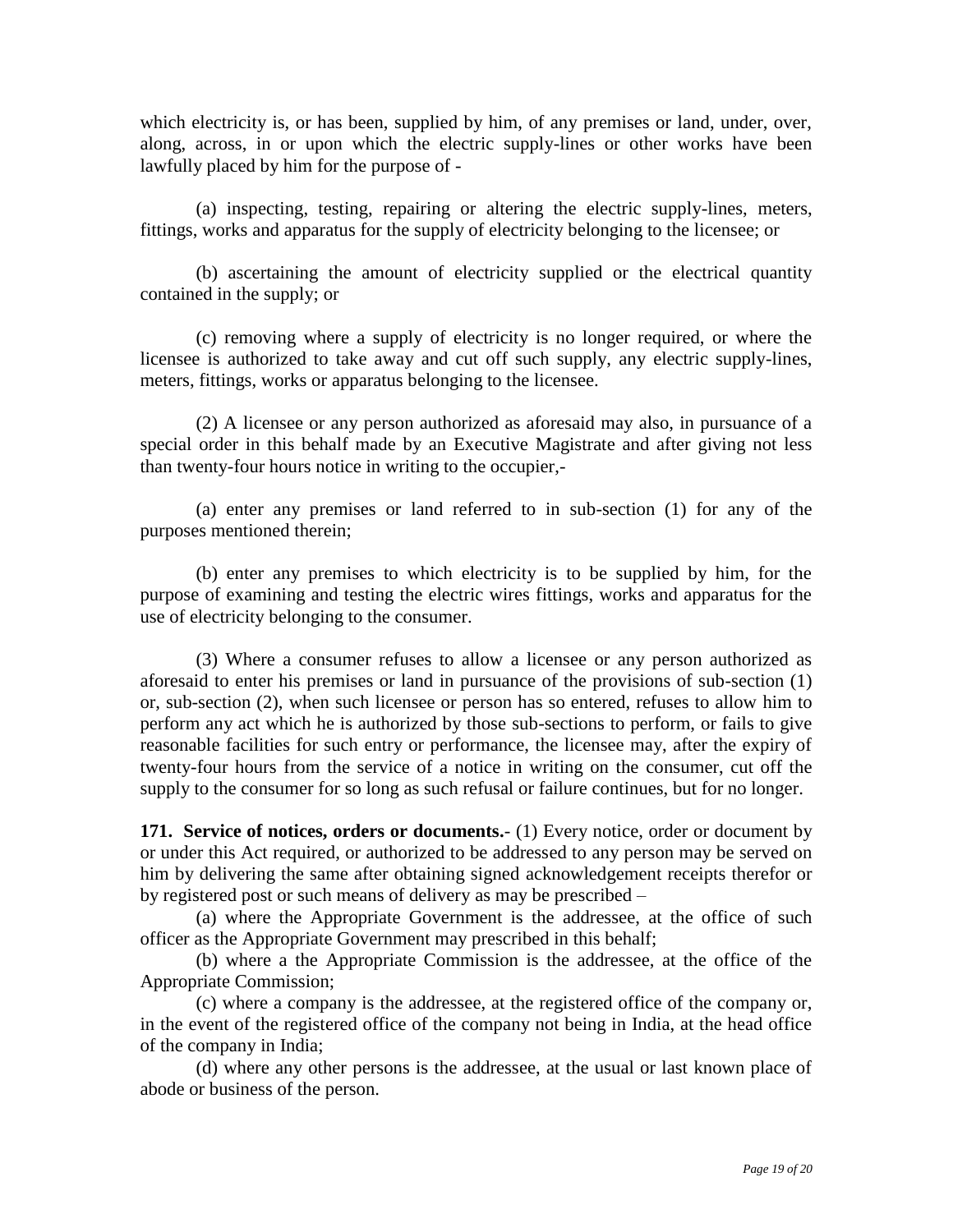which electricity is, or has been, supplied by him, of any premises or land, under, over, along, across, in or upon which the electric supply-lines or other works have been lawfully placed by him for the purpose of -

(a) inspecting, testing, repairing or altering the electric supply-lines, meters, fittings, works and apparatus for the supply of electricity belonging to the licensee; or

(b) ascertaining the amount of electricity supplied or the electrical quantity contained in the supply; or

(c) removing where a supply of electricity is no longer required, or where the licensee is authorized to take away and cut off such supply, any electric supply-lines, meters, fittings, works or apparatus belonging to the licensee.

(2) A licensee or any person authorized as aforesaid may also, in pursuance of a special order in this behalf made by an Executive Magistrate and after giving not less than twenty-four hours notice in writing to the occupier,-

(a) enter any premises or land referred to in sub-section (1) for any of the purposes mentioned therein;

(b) enter any premises to which electricity is to be supplied by him, for the purpose of examining and testing the electric wires fittings, works and apparatus for the use of electricity belonging to the consumer.

(3) Where a consumer refuses to allow a licensee or any person authorized as aforesaid to enter his premises or land in pursuance of the provisions of sub-section (1) or, sub-section (2), when such licensee or person has so entered, refuses to allow him to perform any act which he is authorized by those sub-sections to perform, or fails to give reasonable facilities for such entry or performance, the licensee may, after the expiry of twenty-four hours from the service of a notice in writing on the consumer, cut off the supply to the consumer for so long as such refusal or failure continues, but for no longer.

**171. Service of notices, orders or documents.**- (1) Every notice, order or document by or under this Act required, or authorized to be addressed to any person may be served on him by delivering the same after obtaining signed acknowledgement receipts therefor or by registered post or such means of delivery as may be prescribed –

(a) where the Appropriate Government is the addressee, at the office of such officer as the Appropriate Government may prescribed in this behalf;

(b) where a the Appropriate Commission is the addressee, at the office of the Appropriate Commission;

(c) where a company is the addressee, at the registered office of the company or, in the event of the registered office of the company not being in India, at the head office of the company in India;

(d) where any other persons is the addressee, at the usual or last known place of abode or business of the person.